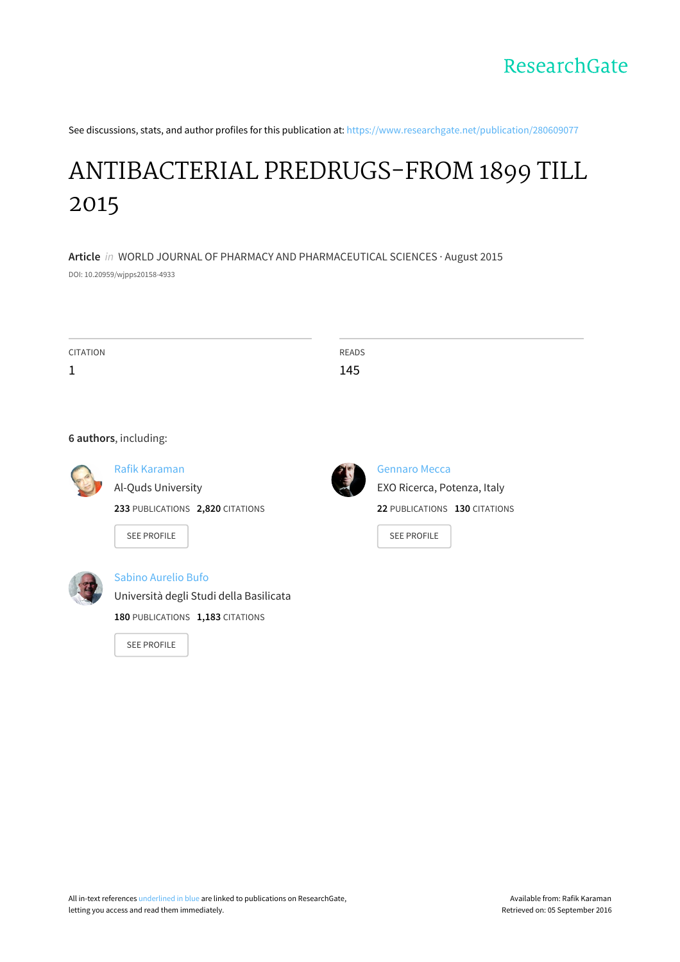See discussions, stats, and author profiles for this publication at: [https://www.researchgate.net/publication/280609077](https://www.researchgate.net/publication/280609077_ANTIBACTERIAL_PREDRUGS-FROM_1899_TILL_2015?enrichId=rgreq-a792a97ecabbe75867adbf1f2d264fb4-XXX&enrichSource=Y292ZXJQYWdlOzI4MDYwOTA3NztBUzozMzY4MDc5MjIyOTA2ODhAMTQ1NzMxMjY3NDY0NQ%3D%3D&el=1_x_2)

# ANTIBACTERIAL [PREDRUGS-FROM](https://www.researchgate.net/publication/280609077_ANTIBACTERIAL_PREDRUGS-FROM_1899_TILL_2015?enrichId=rgreq-a792a97ecabbe75867adbf1f2d264fb4-XXX&enrichSource=Y292ZXJQYWdlOzI4MDYwOTA3NztBUzozMzY4MDc5MjIyOTA2ODhAMTQ1NzMxMjY3NDY0NQ%3D%3D&el=1_x_3) 1899 TILL 2015

**Article** in WORLD JOURNAL OF PHARMACY AND PHARMACEUTICAL SCIENCES · August 2015 DOI: 10.20959/wjpps20158-4933

CITATION 1 READS 145

#### **6 authors**, including:



## Rafik [Karaman](https://www.researchgate.net/profile/Rafik_Karaman?enrichId=rgreq-a792a97ecabbe75867adbf1f2d264fb4-XXX&enrichSource=Y292ZXJQYWdlOzI4MDYwOTA3NztBUzozMzY4MDc5MjIyOTA2ODhAMTQ1NzMxMjY3NDY0NQ%3D%3D&el=1_x_5) Al-Quds [University](https://www.researchgate.net/institution/Al-Quds_University?enrichId=rgreq-a792a97ecabbe75867adbf1f2d264fb4-XXX&enrichSource=Y292ZXJQYWdlOzI4MDYwOTA3NztBUzozMzY4MDc5MjIyOTA2ODhAMTQ1NzMxMjY3NDY0NQ%3D%3D&el=1_x_6)

**233** PUBLICATIONS **2,820** CITATIONS

SEE [PROFILE](https://www.researchgate.net/profile/Rafik_Karaman?enrichId=rgreq-a792a97ecabbe75867adbf1f2d264fb4-XXX&enrichSource=Y292ZXJQYWdlOzI4MDYwOTA3NztBUzozMzY4MDc5MjIyOTA2ODhAMTQ1NzMxMjY3NDY0NQ%3D%3D&el=1_x_7)

#### Sabino [Aurelio](https://www.researchgate.net/profile/Sabino_Bufo?enrichId=rgreq-a792a97ecabbe75867adbf1f2d264fb4-XXX&enrichSource=Y292ZXJQYWdlOzI4MDYwOTA3NztBUzozMzY4MDc5MjIyOTA2ODhAMTQ1NzMxMjY3NDY0NQ%3D%3D&el=1_x_5) Bufo

[Università](https://www.researchgate.net/institution/Universita_degli_Studi_della_Basilicata?enrichId=rgreq-a792a97ecabbe75867adbf1f2d264fb4-XXX&enrichSource=Y292ZXJQYWdlOzI4MDYwOTA3NztBUzozMzY4MDc5MjIyOTA2ODhAMTQ1NzMxMjY3NDY0NQ%3D%3D&el=1_x_6) degli Studi della Basilicata

**180** PUBLICATIONS **1,183** CITATIONS

SEE [PROFILE](https://www.researchgate.net/profile/Sabino_Bufo?enrichId=rgreq-a792a97ecabbe75867adbf1f2d264fb4-XXX&enrichSource=Y292ZXJQYWdlOzI4MDYwOTA3NztBUzozMzY4MDc5MjIyOTA2ODhAMTQ1NzMxMjY3NDY0NQ%3D%3D&el=1_x_7)



[Gennaro](https://www.researchgate.net/profile/Gennaro_Mecca?enrichId=rgreq-a792a97ecabbe75867adbf1f2d264fb4-XXX&enrichSource=Y292ZXJQYWdlOzI4MDYwOTA3NztBUzozMzY4MDc5MjIyOTA2ODhAMTQ1NzMxMjY3NDY0NQ%3D%3D&el=1_x_5) Mecca EXO Ricerca, Potenza, Italy **22** PUBLICATIONS **130** CITATIONS

SEE [PROFILE](https://www.researchgate.net/profile/Gennaro_Mecca?enrichId=rgreq-a792a97ecabbe75867adbf1f2d264fb4-XXX&enrichSource=Y292ZXJQYWdlOzI4MDYwOTA3NztBUzozMzY4MDc5MjIyOTA2ODhAMTQ1NzMxMjY3NDY0NQ%3D%3D&el=1_x_7)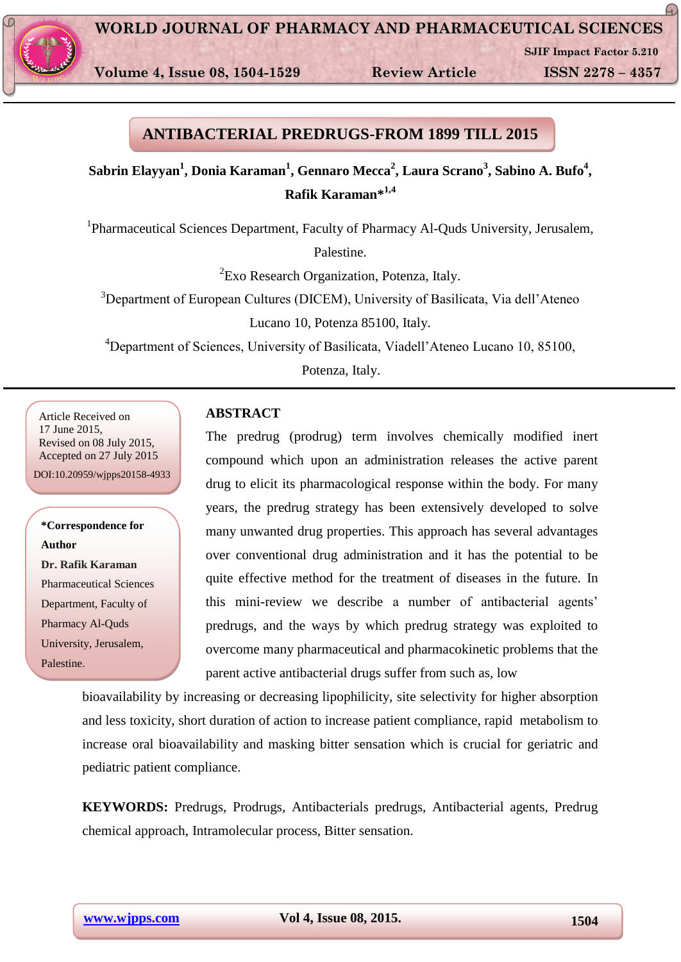

**Volume 4, Issue 08, 1504-1529 Review Article ISSN 2278 – 4357**

**SJIF Impact Factor 5.210**

 $\Omega$ 

## **ANTIBACTERIAL PREDRUGS-FROM 1899 TILL 2015**

**Sabrin Elayyan<sup>1</sup> , Donia Karaman<sup>1</sup> , Gennaro Mecca<sup>2</sup> , Laura Scrano<sup>3</sup> , Sabino A. Bufo<sup>4</sup> , Rafik Karaman\*1,4**

<sup>1</sup>Pharmaceutical Sciences Department, Faculty of Pharmacy Al-Quds University, Jerusalem,

Palestine.

<sup>2</sup> Exo Research Organization, Potenza, Italy.

<sup>3</sup>Department of European Cultures (DICEM), University of Basilicata, Via dell'Ateneo

Lucano 10, Potenza 85100, Italy.

<sup>4</sup>Department of Sciences, University of Basilicata, Viadell'Ateneo Lucano 10, 85100,

Potenza, Italy.

Article Received on 17 June 2015, Revised on 08 July 2015, Accepted on 27 July 2015 DOI:10.20959/wjpps20158-4933

**\*Correspondence for Author Dr. Rafik Karaman** Pharmaceutical Sciences Department, Faculty of Pharmacy Al-Quds University, Jerusalem, Palestine.

### **ABSTRACT**

The predrug (prodrug) term involves chemically modified inert compound which upon an administration releases the active parent drug to elicit its pharmacological response within the body. For many years, the predrug strategy has been extensively developed to solve many unwanted drug properties. This approach has several advantages over conventional drug administration and it has the potential to be quite effective method for the treatment of diseases in the future. In this mini-review we describe a number of antibacterial agents' predrugs, and the ways by which predrug strategy was exploited to overcome many pharmaceutical and pharmacokinetic problems that the parent active antibacterial drugs suffer from such as, low

bioavailability by increasing or decreasing lipophilicity, site selectivity for higher absorption and less toxicity, short duration of action to increase patient compliance, rapid metabolism to increase oral bioavailability and masking bitter sensation which is crucial for geriatric and pediatric patient compliance.

**KEYWORDS:** Predrugs, Prodrugs, Antibacterials predrugs, Antibacterial agents, Predrug chemical approach, Intramolecular process, Bitter sensation.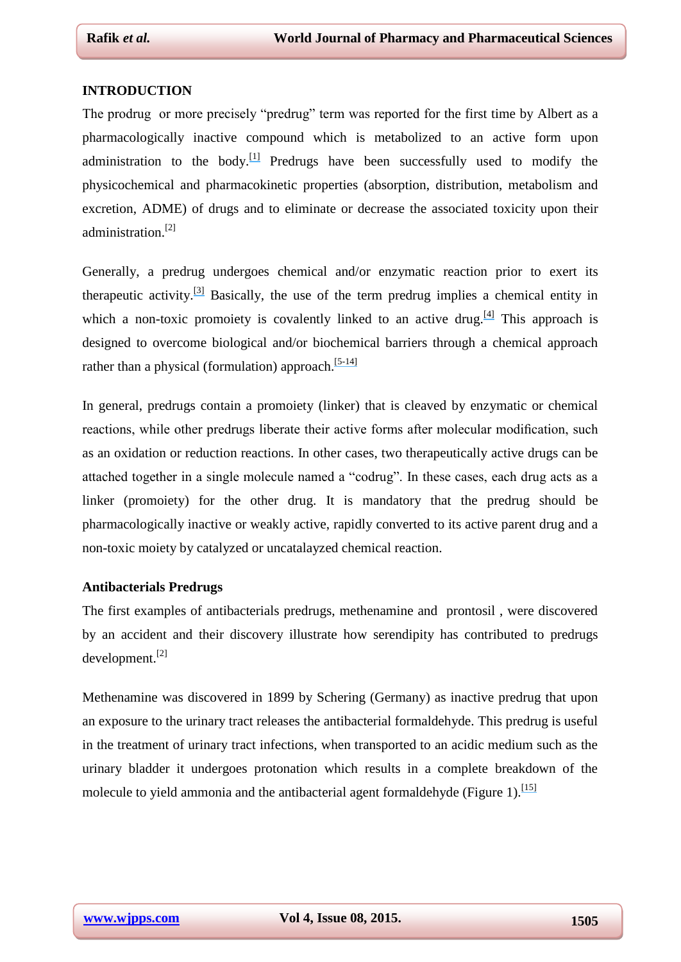#### **INTRODUCTION**

The prodrug or more precisely "predrug" term was reported for the first time by Albert as a pharmacologically inactive compound which is metabolized to an active form upon administration to the body.<sup>[\[](https://www.researchgate.net/publication/9988348_Chemical_Aspects_of_Selective_Toxicity?el=1_x_8&enrichId=rgreq-a792a97ecabbe75867adbf1f2d264fb4-XXX&enrichSource=Y292ZXJQYWdlOzI4MDYwOTA3NztBUzozMzY4MDc5MjIyOTA2ODhAMTQ1NzMxMjY3NDY0NQ==)[1](#page-21-0)[\]](https://www.researchgate.net/publication/9988348_Chemical_Aspects_of_Selective_Toxicity?el=1_x_8&enrichId=rgreq-a792a97ecabbe75867adbf1f2d264fb4-XXX&enrichSource=Y292ZXJQYWdlOzI4MDYwOTA3NztBUzozMzY4MDc5MjIyOTA2ODhAMTQ1NzMxMjY3NDY0NQ==)</sup> Predrugs have been successfully used to modify the physicochemical and pharmacokinetic properties (absorption, distribution, metabolism and excretion, ADME) of drugs and to eliminate or decrease the associated toxicity upon their administration.[2]

Generally, a predrug undergoes chemical and/or enzymatic reaction prior to exert its therapeutic activity.<sup>[\[3\]](https://www.researchgate.net/publication/6210418_Prodrug_strategies_to_overcome_poor_water_solubility?el=1_x_8&enrichId=rgreq-a792a97ecabbe75867adbf1f2d264fb4-XXX&enrichSource=Y292ZXJQYWdlOzI4MDYwOTA3NztBUzozMzY4MDc5MjIyOTA2ODhAMTQ1NzMxMjY3NDY0NQ==)</sup> Basically, the use of the term predrug implies a chemical entity in which a non-toxic promoiety is covalently linked to an active drug.<sup>[\[4\]](https://www.researchgate.net/publication/5633050_Prodrugs_Design_and_clinical_applications?el=1_x_8&enrichId=rgreq-a792a97ecabbe75867adbf1f2d264fb4-XXX&enrichSource=Y292ZXJQYWdlOzI4MDYwOTA3NztBUzozMzY4MDc5MjIyOTA2ODhAMTQ1NzMxMjY3NDY0NQ==)</sup> This approach is designed to overcome biological and/or biochemical barriers through a chemical approach rather than a physical (formulation) approach.<sup>[\[5](https://www.researchgate.net/publication/40031070_Prodrug_Approaches_for_Enhancing_the_Bioavailability_of_Drugs_with_Low_Solubility?el=1_x_8&enrichId=rgreq-a792a97ecabbe75867adbf1f2d264fb4-XXX&enrichSource=Y292ZXJQYWdlOzI4MDYwOTA3NztBUzozMzY4MDc5MjIyOTA2ODhAMTQ1NzMxMjY3NDY0NQ==)[-](https://www.researchgate.net/publication/227162588_Targeted_prodrugs_in_oral_drug_delivery_The_modern_molecular_biopharmaceutical_approach?el=1_x_8&enrichId=rgreq-a792a97ecabbe75867adbf1f2d264fb4-XXX&enrichSource=Y292ZXJQYWdlOzI4MDYwOTA3NztBUzozMzY4MDc5MjIyOTA2ODhAMTQ1NzMxMjY3NDY0NQ==)[14\]](https://www.researchgate.net/publication/265134461_Using_predrugs_to_optimize_drug_candidates?el=1_x_8&enrichId=rgreq-a792a97ecabbe75867adbf1f2d264fb4-XXX&enrichSource=Y292ZXJQYWdlOzI4MDYwOTA3NztBUzozMzY4MDc5MjIyOTA2ODhAMTQ1NzMxMjY3NDY0NQ==)</sup>

In general, predrugs contain a promoiety (linker) that is cleaved by enzymatic or chemical reactions, while other predrugs liberate their active forms after molecular modification, such as an oxidation or reduction reactions. In other cases, two therapeutically active drugs can be attached together in a single molecule named a "codrug". In these cases, each drug acts as a linker (promoiety) for the other drug. It is mandatory that the predrug should be pharmacologically inactive or weakly active, rapidly converted to its active parent drug and a non-toxic moiety by catalyzed or uncatalayzed chemical reaction.

#### **Antibacterials Predrugs**

The first examples of antibacterials predrugs, methenamine and prontosil , were discovered by an accident and their discovery illustrate how serendipity has contributed to predrugs development.[2]

Methenamine was discovered in 1899 by Schering (Germany) as inactive predrug that upon an exposure to the urinary tract releases the antibacterial formaldehyde. This predrug is useful in the treatment of urinary tract infections, when transported to an acidic medium such as the urinary bladder it undergoes protonation which results in a complete breakdown of the molecule to yield ammonia and the antibacterial agent formaldehyde (Figure 1).<sup>[\[15\]](https://www.researchgate.net/publication/26245233_Prodrugs_Bridging_pharmacodynamicpharmacokinetic_gaps?el=1_x_8&enrichId=rgreq-a792a97ecabbe75867adbf1f2d264fb4-XXX&enrichSource=Y292ZXJQYWdlOzI4MDYwOTA3NztBUzozMzY4MDc5MjIyOTA2ODhAMTQ1NzMxMjY3NDY0NQ==)</sup>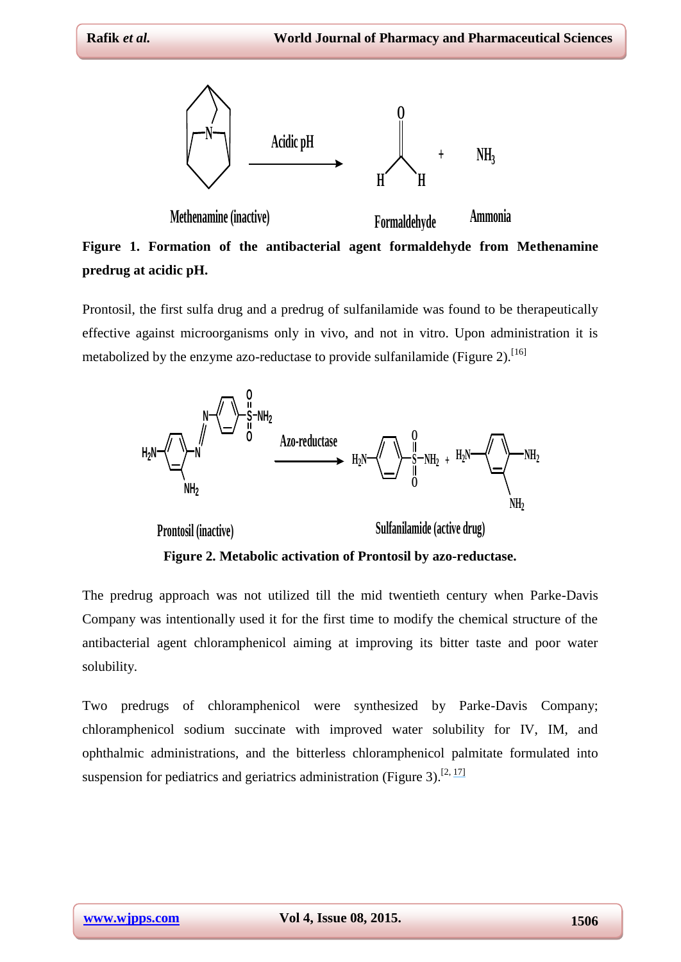

**Methenamine (inactive) Formaldehyde Ammonia Figure 1. Formation of the antibacterial agent formaldehyde from Methenamine predrug at acidic pH.**

Prontosil, the first sulfa drug and a predrug of sulfanilamide was found to be therapeutically effective against microorganisms only in vivo, and not in vitro. Upon administration it is metabolized by the enzyme azo-reductase to provide sulfanilamide (Figure 2).<sup>[16]</sup>



The predrug approach was not utilized till the mid twentieth century when Parke-Davis Company was intentionally used it for the first time to modify the chemical structure of the antibacterial agent chloramphenicol aiming at improving its bitter taste and poor water solubility.

Two predrugs of chloramphenicol were synthesized by Parke-Davis Company; chloramphenicol sodium succinate with improved water solubility for IV, IM, and ophthalmic administrations, and the bitterless chloramphenicol palmitate formulated into suspension for pediatrics and geriatrics administration (Figure 3).<sup>[2, [17\]](https://www.researchgate.net/publication/10044378_Succinic_Acid_Esters_of_Chloramphenicol?el=1_x_8&enrichId=rgreq-a792a97ecabbe75867adbf1f2d264fb4-XXX&enrichSource=Y292ZXJQYWdlOzI4MDYwOTA3NztBUzozMzY4MDc5MjIyOTA2ODhAMTQ1NzMxMjY3NDY0NQ==)</sup>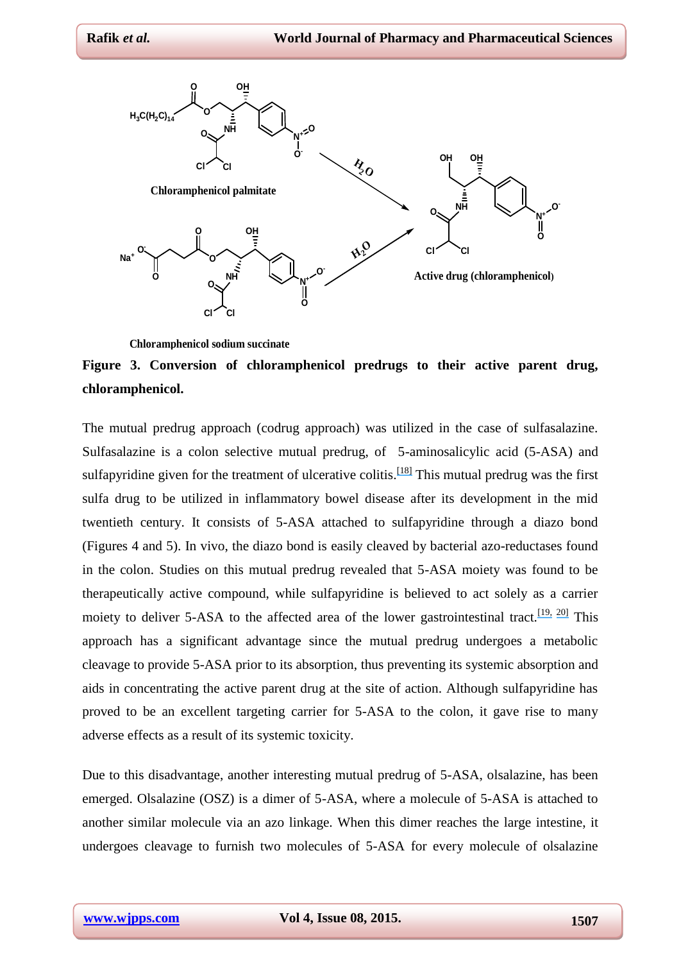

**Chloramphenicol sodium succinate**

# **Figure 3. Conversion of chloramphenicol predrugs to their active parent drug, chloramphenicol.**

The mutual predrug approach (codrug approach) was utilized in the case of sulfasalazine. Sulfasalazine is a colon selective mutual predrug, of 5-aminosalicylic acid (5-ASA) and sulfapyridine given for the treatment of ulcerative colitis.<sup>[\[18\]](https://www.researchgate.net/publication/17063889_The_disposition_and_metabolism_of_sulfasalazine_salicylazosulfapyridine_in_man?el=1_x_8&enrichId=rgreq-a792a97ecabbe75867adbf1f2d264fb4-XXX&enrichSource=Y292ZXJQYWdlOzI4MDYwOTA3NztBUzozMzY4MDc5MjIyOTA2ODhAMTQ1NzMxMjY3NDY0NQ==)</sup> This mutual predrug was the first sulfa drug to be utilized in inflammatory bowel disease after its development in the mid twentieth century. It consists of 5-ASA attached to sulfapyridine through a diazo bond (Figures 4 and 5). In vivo, the diazo bond is easily cleaved by bacterial azo-reductases found in the colon. Studies on this mutual predrug revealed that 5-ASA moiety was found to be therapeutically active compound, while sulfapyridine is believed to act solely as a carrier moiety to deliver 5-ASA to the affected area of the lower gastrointestinal tract.<sup>[\[19,](https://www.researchgate.net/publication/18759599_Distribution_studies_of_salicylazosulfapyridine_and_its_metabolites?el=1_x_8&enrichId=rgreq-a792a97ecabbe75867adbf1f2d264fb4-XXX&enrichSource=Y292ZXJQYWdlOzI4MDYwOTA3NztBUzozMzY4MDc5MjIyOTA2ODhAMTQ1NzMxMjY3NDY0NQ==) [20\]](https://www.researchgate.net/publication/18764375_The_role_of_intestinal_bacteria_in_the_metabolism_of_salicylazosulfapyridine?el=1_x_8&enrichId=rgreq-a792a97ecabbe75867adbf1f2d264fb4-XXX&enrichSource=Y292ZXJQYWdlOzI4MDYwOTA3NztBUzozMzY4MDc5MjIyOTA2ODhAMTQ1NzMxMjY3NDY0NQ==)</sup> This approach has a significant advantage since the mutual predrug undergoes a metabolic cleavage to provide 5-ASA prior to its absorption, thus preventing its systemic absorption and aids in concentrating the active parent drug at the site of action. Although sulfapyridine has proved to be an excellent targeting carrier for 5-ASA to the colon, it gave rise to many adverse effects as a result of its systemic toxicity.

Due to this disadvantage, another interesting mutual predrug of 5-ASA, olsalazine, has been emerged. Olsalazine (OSZ) is a dimer of 5-ASA, where a molecule of 5-ASA is attached to another similar molecule via an azo linkage. When this dimer reaches the large intestine, it undergoes cleavage to furnish two molecules of 5-ASA for every molecule of olsalazine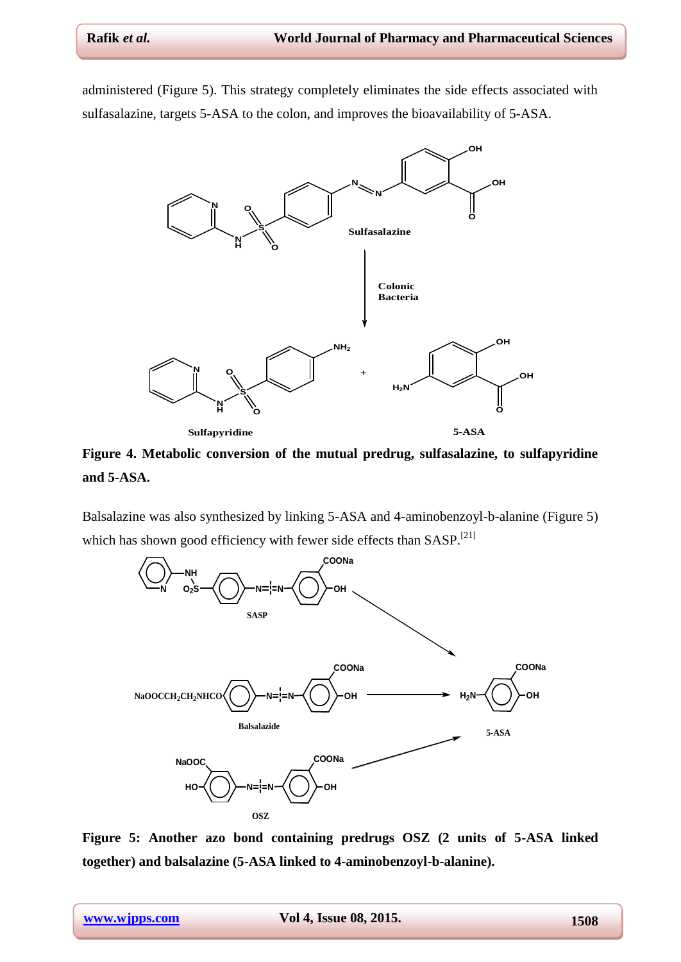administered (Figure 5). This strategy completely eliminates the side effects associated with sulfasalazine, targets 5-ASA to the colon, and improves the bioavailability of 5-ASA.



**Figure 4. Metabolic conversion of the mutual predrug, sulfasalazine, to sulfapyridine and 5-ASA.**

Balsalazine was also synthesized by linking 5-ASA and 4-aminobenzoyl-b-alanine (Figure 5) which has shown good efficiency with fewer side effects than  $SASP$ <sup>[21]</sup>



**Figure 5: Another azo bond containing predrugs OSZ (2 units of 5-ASA linked together) and balsalazine (5-ASA linked to 4-aminobenzoyl-b-alanine).**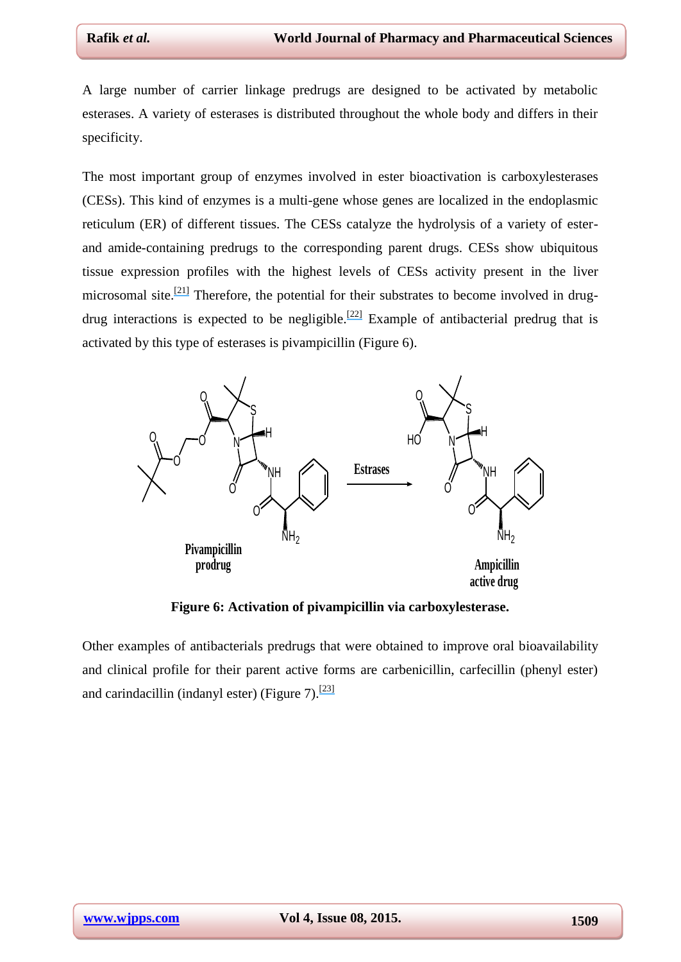A large number of carrier linkage predrugs are designed to be activated by metabolic esterases. A variety of esterases is distributed throughout the whole body and differs in their specificity.

The most important group of enzymes involved in ester bioactivation is carboxylesterases (CESs). This kind of enzymes is a multi-gene whose genes are localized in the endoplasmic reticulum (ER) of different tissues. The CESs catalyze the hydrolysis of a variety of esterand amide-containing predrugs to the corresponding parent drugs. CESs show ubiquitous tissue expression profiles with the highest levels of CESs activity present in the liver microsomal site.<sup>[\[21\]](https://www.researchgate.net/publication/20846276_Charaterization_of_molecular_species_of_liver_microsomal_carboxylesterase_of_several_animal_species_and_humans?el=1_x_8&enrichId=rgreq-a792a97ecabbe75867adbf1f2d264fb4-XXX&enrichSource=Y292ZXJQYWdlOzI4MDYwOTA3NztBUzozMzY4MDc5MjIyOTA2ODhAMTQ1NzMxMjY3NDY0NQ==)</sup> Therefore, the potential for their substrates to become involved in drug-drug interactions is expected to be negligible.<sup>[\[22\]](https://www.researchgate.net/publication/7140784_Enzymes_involved_in_the_bioconversion_of_ester-based_prodrugs?el=1_x_8&enrichId=rgreq-a792a97ecabbe75867adbf1f2d264fb4-XXX&enrichSource=Y292ZXJQYWdlOzI4MDYwOTA3NztBUzozMzY4MDc5MjIyOTA2ODhAMTQ1NzMxMjY3NDY0NQ==)</sup> Example of antibacterial predrug that is activated by this type of esterases is pivampicillin (Figure 6).



**Figure 6: Activation of pivampicillin via carboxylesterase.**

Other examples of antibacterials predrugs that were obtained to improve oral bioavailability and clinical profile for their parent active forms are carbenicillin, carfecillin (phenyl ester) and carindacillin (indanyl ester) (Figure 7).<sup>[\[23\]](https://www.researchgate.net/publication/22564224_Pharmacokinetics_of_carfecillin_and_carindacillin?el=1_x_8&enrichId=rgreq-a792a97ecabbe75867adbf1f2d264fb4-XXX&enrichSource=Y292ZXJQYWdlOzI4MDYwOTA3NztBUzozMzY4MDc5MjIyOTA2ODhAMTQ1NzMxMjY3NDY0NQ==)</sup>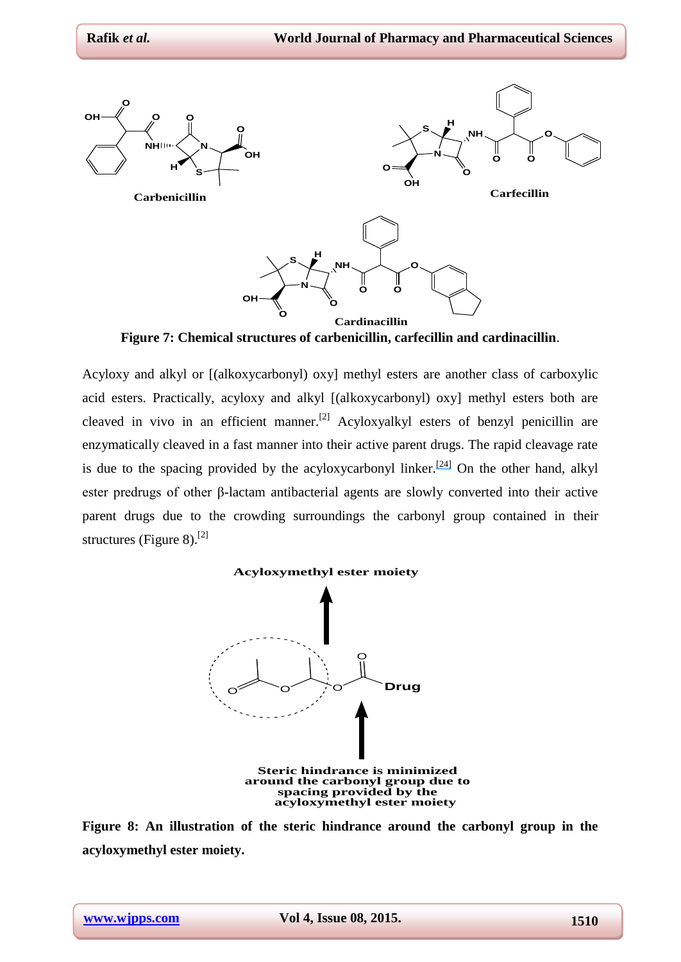

**Figure 7: Chemical structures of carbenicillin, carfecillin and cardinacillin**.

Acyloxy and alkyl or [(alkoxycarbonyl) oxy] methyl esters are another class of carboxylic acid esters. Practically, acyloxy and alkyl [(alkoxycarbonyl) oxy] methyl esters both are cleaved in vivo in an efficient manner.<sup>[2]</sup> Acyloxyalkyl esters of benzyl penicillin are enzymatically cleaved in a fast manner into their active parent drugs. The rapid cleavage rate is due to the spacing provided by the acyloxycarbonyl linker.<sup>[\[24\]](https://www.researchgate.net/publication/9296559_Some_novel_penicillin_derivatives?el=1_x_8&enrichId=rgreq-a792a97ecabbe75867adbf1f2d264fb4-XXX&enrichSource=Y292ZXJQYWdlOzI4MDYwOTA3NztBUzozMzY4MDc5MjIyOTA2ODhAMTQ1NzMxMjY3NDY0NQ==)</sup> On the other hand, alkyl ester predrugs of other β-lactam antibacterial agents are slowly converted into their active parent drugs due to the crowding surroundings the carbonyl group contained in their structures (Figure 8).<sup>[2]</sup>

#### **Acyloxymethyl ester moiety**



**Figure 8: An illustration of the steric hindrance around the carbonyl group in the acyloxymethyl ester moiety.**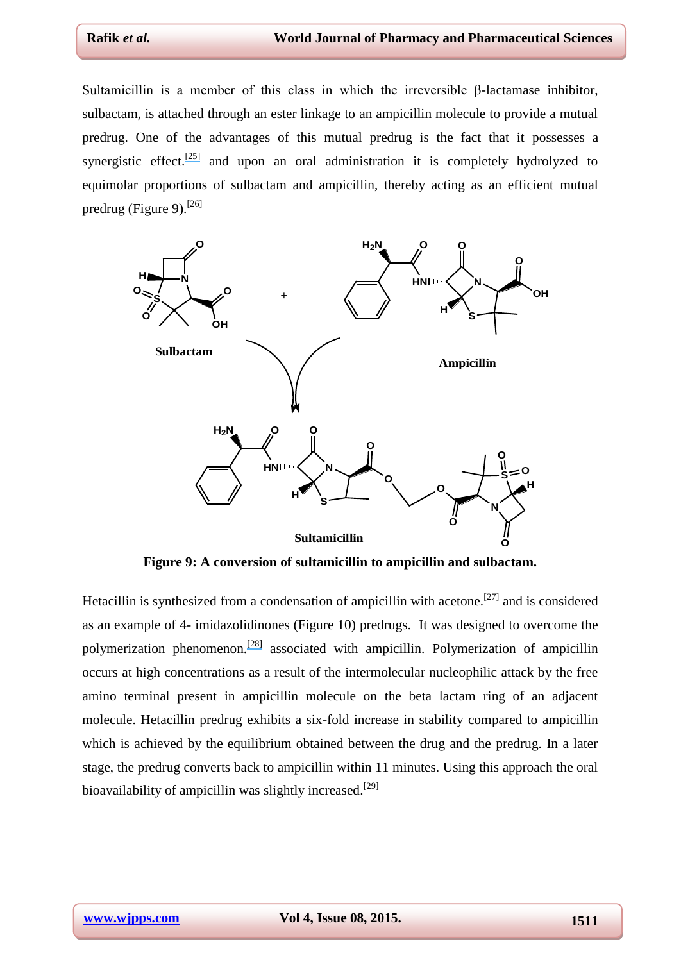Sultamicillin is a member of this class in which the irreversible β-lactamase inhibitor, sulbactam, is attached through an ester linkage to an ampicillin molecule to provide a mutual predrug. One of the advantages of this mutual predrug is the fact that it possesses a synergistic effect.<sup>[\[25\]](https://www.researchgate.net/publication/26437723_Mutual_prodrug_concept_Fundamentals_and_applications?el=1_x_8&enrichId=rgreq-a792a97ecabbe75867adbf1f2d264fb4-XXX&enrichSource=Y292ZXJQYWdlOzI4MDYwOTA3NztBUzozMzY4MDc5MjIyOTA2ODhAMTQ1NzMxMjY3NDY0NQ==)</sup> and upon an oral administration it is completely hydrolyzed to equimolar proportions of sulbactam and ampicillin, thereby acting as an efficient mutual predrug (Figure 9).<sup>[26]</sup>



**Figure 9: A conversion of sultamicillin to ampicillin and sulbactam.**

Hetacillin is synthesized from a condensation of ampicillin with acetone.[27] and is considered as an example of 4- imidazolidinones (Figure 10) predrugs. It was designed to overcome the polymerization phenomenon.<sup>[\[28\]](https://www.researchgate.net/publication/18825886_Relative_stability_of_hetacillin_and_ampicillin_in_solution?el=1_x_8&enrichId=rgreq-a792a97ecabbe75867adbf1f2d264fb4-XXX&enrichSource=Y292ZXJQYWdlOzI4MDYwOTA3NztBUzozMzY4MDc5MjIyOTA2ODhAMTQ1NzMxMjY3NDY0NQ==)</sup> associated with ampicillin. Polymerization of ampicillin occurs at high concentrations as a result of the intermolecular nucleophilic attack by the free amino terminal present in ampicillin molecule on the beta lactam ring of an adjacent molecule. Hetacillin predrug exhibits a six-fold increase in stability compared to ampicillin which is achieved by the equilibrium obtained between the drug and the predrug. In a later stage, the predrug converts back to ampicillin within 11 minutes. Using this approach the oral bioavailability of ampicillin was slightly increased.<sup>[29]</sup>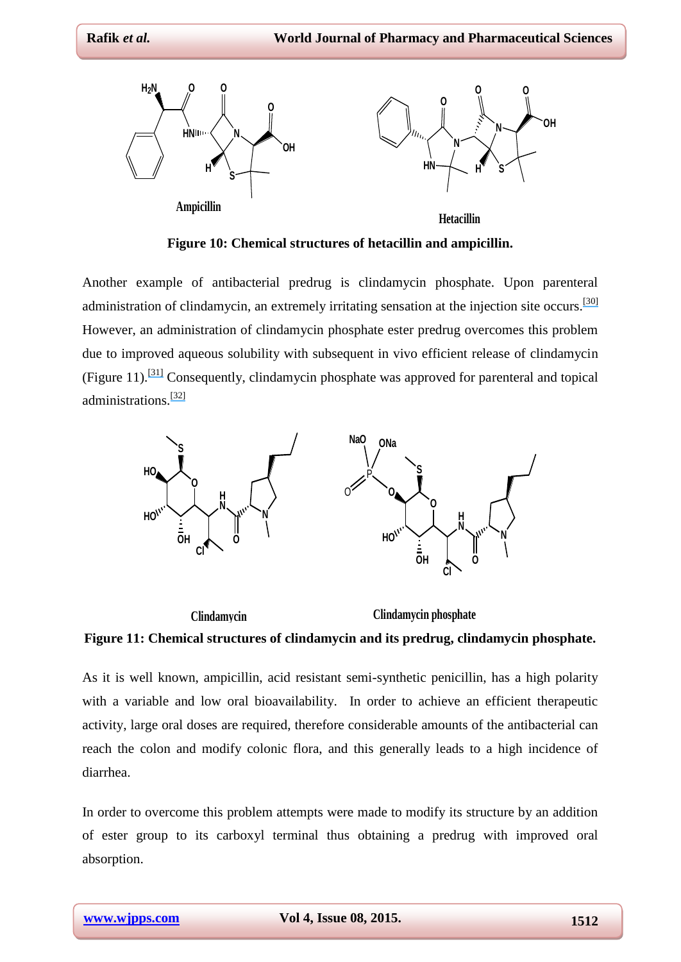

**Figure 10: Chemical structures of hetacillin and ampicillin.**

Another example of antibacterial predrug is clindamycin phosphate. Upon parenteral administration of clindamycin, an extremely irritating sensation at the injection site occurs.<sup>[\[30\]](https://www.researchgate.net/publication/18252129_Local_and_systemic_tolerance_absorption_and_excretion_of_clindamycin_hydrochloride_after_intramuscular_administration?el=1_x_8&enrichId=rgreq-a792a97ecabbe75867adbf1f2d264fb4-XXX&enrichSource=Y292ZXJQYWdlOzI4MDYwOTA3NztBUzozMzY4MDc5MjIyOTA2ODhAMTQ1NzMxMjY3NDY0NQ==)</sup> However, an administration of clindamycin phosphate ester predrug overcomes this problem due to improved aqueous solubility with subsequent in vivo efficient release of clindamycin (Figure 11).[\[31\]](https://www.researchgate.net/publication/18133933_Parenteral_development_of_clindamycin-2-phosphate?el=1_x_8&enrichId=rgreq-a792a97ecabbe75867adbf1f2d264fb4-XXX&enrichSource=Y292ZXJQYWdlOzI4MDYwOTA3NztBUzozMzY4MDc5MjIyOTA2ODhAMTQ1NzMxMjY3NDY0NQ==) Consequently, clindamycin phosphate was approved for parenteral and topical administrations.[\[32\]](https://www.researchgate.net/publication/13397020_Clinical_efficacy_of_VelacR_a_new_tretinoin_and_clindamycin_phosphate_gel_in_acne_vulgaris?el=1_x_8&enrichId=rgreq-a792a97ecabbe75867adbf1f2d264fb4-XXX&enrichSource=Y292ZXJQYWdlOzI4MDYwOTA3NztBUzozMzY4MDc5MjIyOTA2ODhAMTQ1NzMxMjY3NDY0NQ==)





As it is well known, ampicillin, acid resistant semi-synthetic penicillin, has a high polarity with a variable and low oral bioavailability. In order to achieve an efficient therapeutic activity, large oral doses are required, therefore considerable amounts of the antibacterial can reach the colon and modify colonic flora, and this generally leads to a high incidence of diarrhea.

In order to overcome this problem attempts were made to modify its structure by an addition of ester group to its carboxyl terminal thus obtaining a predrug with improved oral absorption.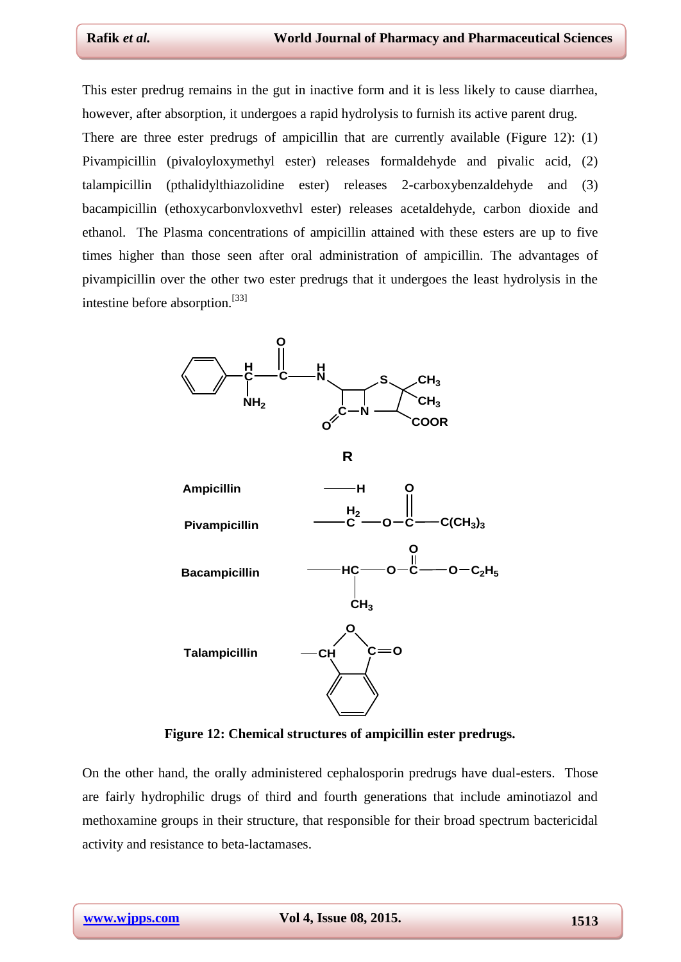This ester predrug remains in the gut in inactive form and it is less likely to cause diarrhea, however, after absorption, it undergoes a rapid hydrolysis to furnish its active parent drug.

There are three ester predrugs of ampicillin that are currently available (Figure 12): (1) Pivampicillin (pivaloyloxymethyl ester) releases formaldehyde and pivalic acid, (2) talampicillin (pthalidylthiazolidine ester) releases 2-carboxybenzaldehyde and (3) bacampicillin (ethoxycarbonvloxvethvl ester) releases acetaldehyde, carbon dioxide and ethanol. The Plasma concentrations of ampicillin attained with these esters are up to five times higher than those seen after oral administration of ampicillin. The advantages of pivampicillin over the other two ester predrugs that it undergoes the least hydrolysis in the intestine before absorption.[33]



**Figure 12: Chemical structures of ampicillin ester predrugs.**

On the other hand, the orally administered cephalosporin predrugs have dual-esters. Those are fairly hydrophilic drugs of third and fourth generations that include aminotiazol and methoxamine groups in their structure, that responsible for their broad spectrum bactericidal activity and resistance to beta-lactamases.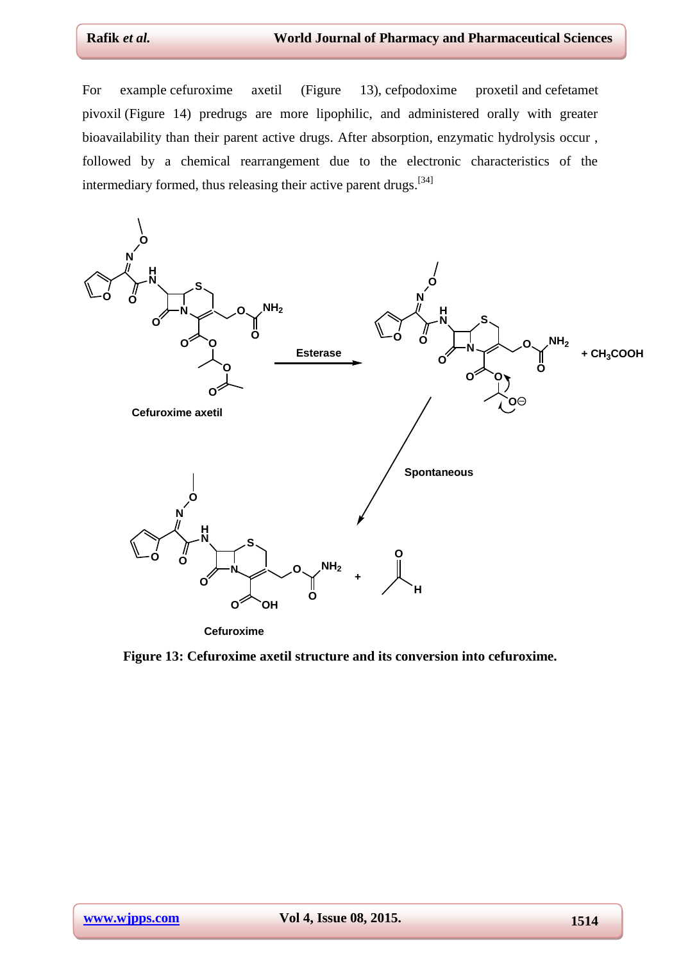For example cefuroxime axetil (Figure 13), cefpodoxime proxetil and cefetamet pivoxil (Figure 14) predrugs are more lipophilic, and administered orally with greater bioavailability than their parent active drugs. After absorption, enzymatic hydrolysis occur , followed by a chemical rearrangement due to the electronic characteristics of the intermediary formed, thus releasing their active parent drugs.<sup>[[34\]](#page-21-1)</sup>



**Cefuroxime**

**Figure 13: Cefuroxime axetil structure and its conversion into cefuroxime.**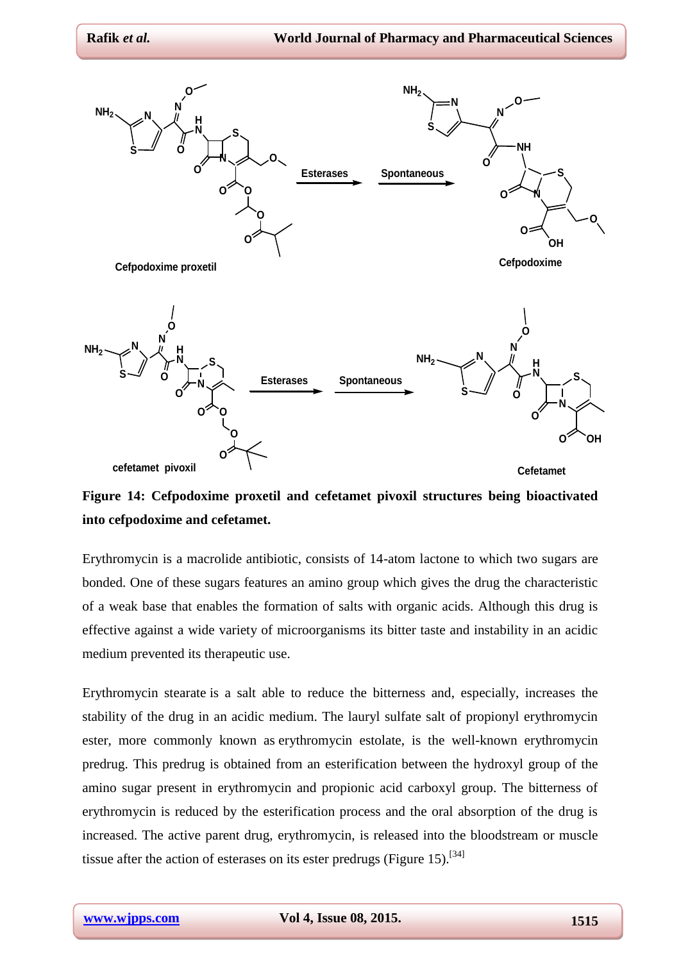

**Figure 14: Cefpodoxime proxetil and cefetamet pivoxil structures being bioactivated into cefpodoxime and cefetamet.**

Erythromycin is a macrolide antibiotic, consists of 14-atom lactone to which two sugars are bonded. One of these sugars features an amino group which gives the drug the characteristic of a weak base that enables the formation of salts with organic acids. Although this drug is effective against a wide variety of microorganisms its bitter taste and instability in an acidic medium prevented its therapeutic use.

Erythromycin stearate is a salt able to reduce the bitterness and, especially, increases the stability of the drug in an acidic medium. The lauryl sulfate salt of propionyl erythromycin ester, more commonly known as erythromycin estolate, is the well-known erythromycin predrug. This predrug is obtained from an esterification between the hydroxyl group of the amino sugar present in erythromycin and propionic acid carboxyl group. The bitterness of erythromycin is reduced by the esterification process and the oral absorption of the drug is increased. The active parent drug, erythromycin, is released into the bloodstream or muscle tissue after the action of esterases on its ester predrugs (Figure 15).<sup>[[34\]](#page-21-1)</sup>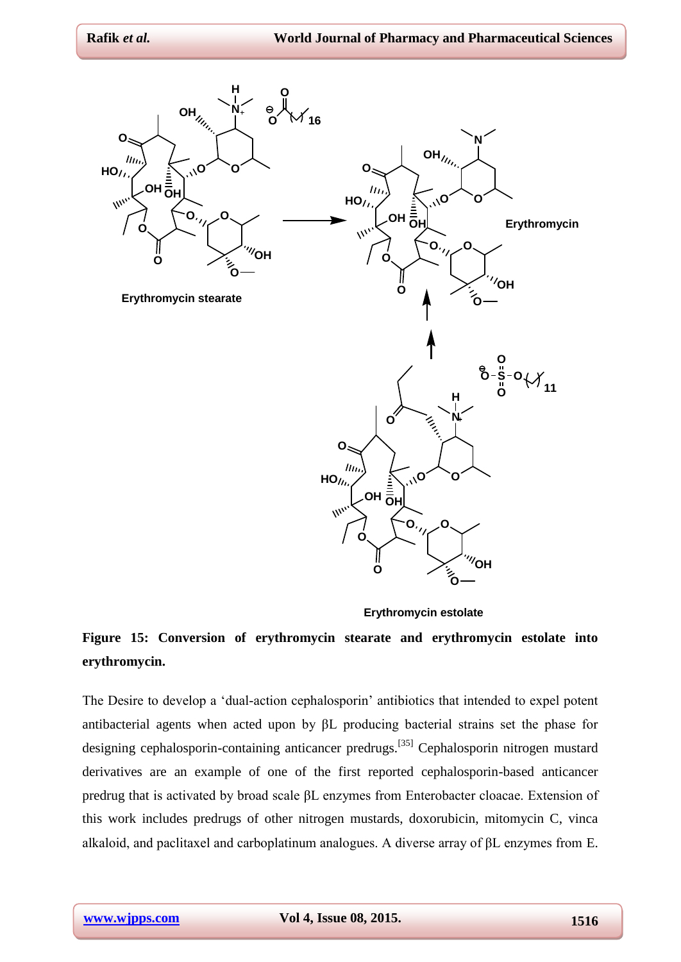

**Erythromycin estolate**

## **Figure 15: Conversion of erythromycin stearate and erythromycin estolate into erythromycin.**

The Desire to develop a 'dual-action cephalosporin' antibiotics that intended to expel potent antibacterial agents when acted upon by βL producing bacterial strains set the phase for designing cephalosporin-containing anticancer predrugs.[[35\]](#page-21-0) Cephalosporin nitrogen mustard derivatives are an example of one of the first reported cephalosporin-based anticancer predrug that is activated by broad scale βL enzymes from Enterobacter cloacae. Extension of this work includes predrugs of other nitrogen mustards, doxorubicin, mitomycin C, vinca alkaloid, and paclitaxel and carboplatinum analogues. A diverse array of βL enzymes from E.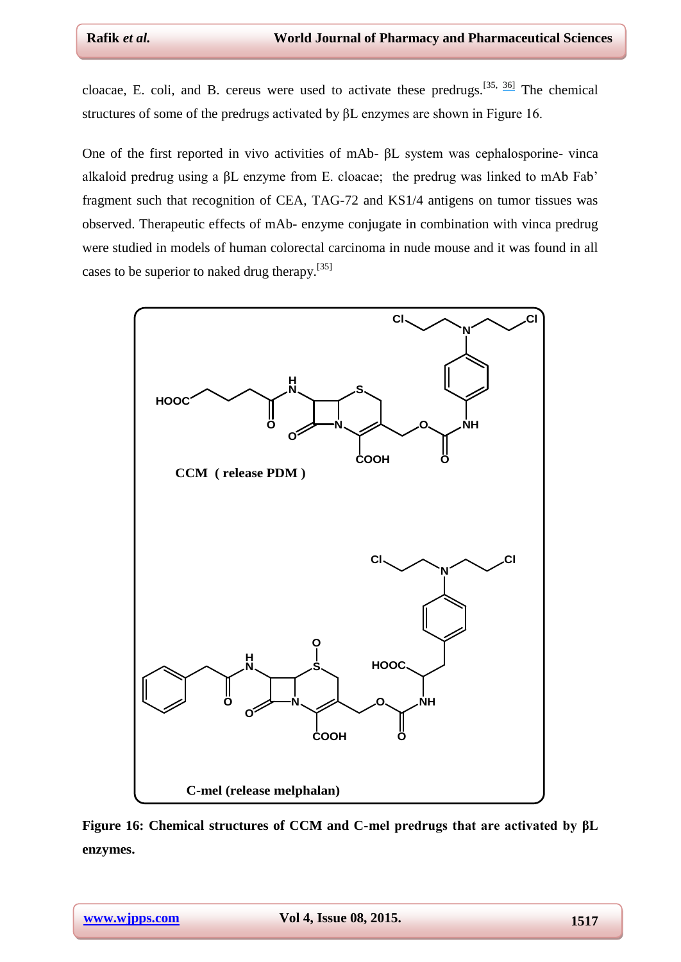cloacae, E. coli, and B. cereus were used to activate these predrugs.<sup>[[35,](#page-21-0) [36](#page-19-0)[\]](https://www.researchgate.net/publication/14567050_Antibody-Enzyme_Conjugates_for_Cancer_Therapy?el=1_x_8&enrichId=rgreq-a792a97ecabbe75867adbf1f2d264fb4-XXX&enrichSource=Y292ZXJQYWdlOzI4MDYwOTA3NztBUzozMzY4MDc5MjIyOTA2ODhAMTQ1NzMxMjY3NDY0NQ==)</sup> The chemical structures of some of the predrugs activated by βL enzymes are shown in Figure 16.

One of the first reported in vivo activities of mAb- βL system was cephalosporine- vinca alkaloid predrug using a βL enzyme from E. cloacae; the predrug was linked to mAb Fab' fragment such that recognition of CEA, TAG-72 and KS1/4 antigens on tumor tissues was observed. Therapeutic effects of mAb- enzyme conjugate in combination with vinca predrug were studied in models of human colorectal carcinoma in nude mouse and it was found in all cases to be superior to naked drug therapy.[[35\]](#page-21-0)



**Figure 16: Chemical structures of CCM and C-mel predrugs that are activated by βL enzymes.**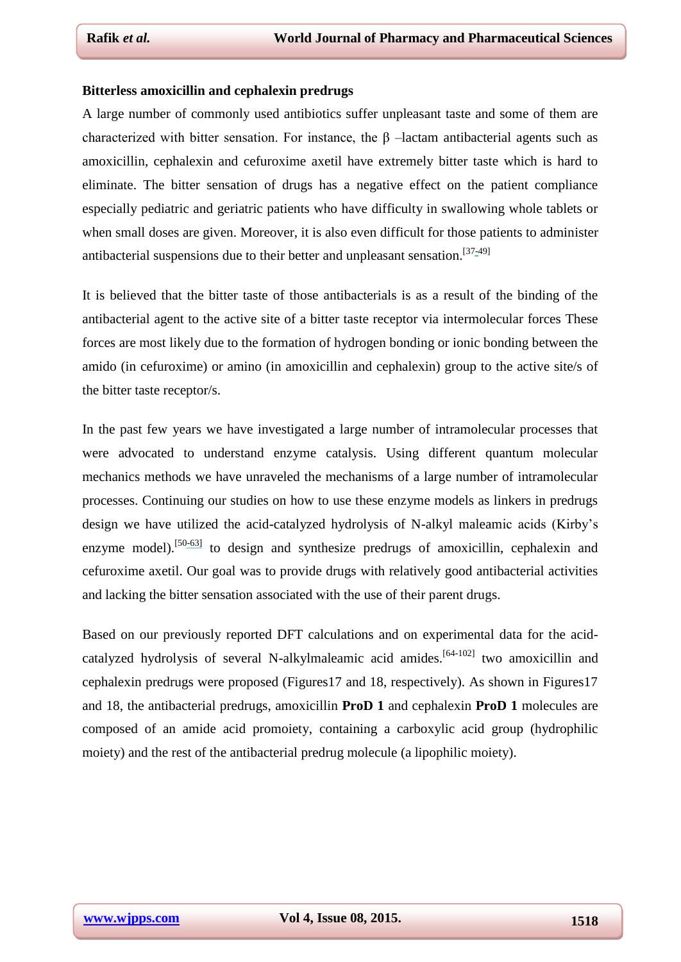#### **Bitterless amoxicillin and cephalexin predrugs**

A large number of commonly used antibiotics suffer unpleasant taste and some of them are characterized with bitter sensation. For instance, the  $\beta$  –lactam antibacterial agents such as amoxicillin, cephalexin and cefuroxime axetil have extremely bitter taste which is hard to eliminate. The bitter sensation of drugs has a negative effect on the patient compliance especially pediatric and geriatric patients who have difficulty in swallowing whole tablets or when small doses are given. Moreover, it is also even difficult for those patients to administer antibacterial suspensions due to their better and unpleasant sensation.<sup>[3[7-4](https://www.researchgate.net/publication/235743889_Prodrugs_Design_by_Computation_Methods-_A_New_Era?el=1_x_8&enrichId=rgreq-a792a97ecabbe75867adbf1f2d264fb4-XXX&enrichSource=Y292ZXJQYWdlOzI4MDYwOTA3NztBUzozMzY4MDc5MjIyOTA2ODhAMTQ1NzMxMjY3NDY0NQ==)9]</sup>

It is believed that the bitter taste of those antibacterials is as a result of the binding of the antibacterial agent to the active site of a bitter taste receptor via intermolecular forces These forces are most likely due to the formation of hydrogen bonding or ionic bonding between the amido (in cefuroxime) or amino (in amoxicillin and cephalexin) group to the active site/s of the bitter taste receptor/s.

In the past few years we have investigated a large number of intramolecular processes that were advocated to understand enzyme catalysis. Using different quantum molecular mechanics methods we have unraveled the mechanisms of a large number of intramolecular processes. Continuing our studies on how to use these enzyme models as linkers in predrugs design we have utilized the acid-catalyzed hydrolysis of N-alkyl maleamic acids (Kirby's enzyme model).<sup>[5[0-](https://www.researchgate.net/publication/231462499_Intramolecular_general_acid_catalysis_in_the_hydrolysis_of_acetals_with_aliphatic_alcohol_leaving_groups?el=1_x_8&enrichId=rgreq-a792a97ecabbe75867adbf1f2d264fb4-XXX&enrichSource=Y292ZXJQYWdlOzI4MDYwOTA3NztBUzozMzY4MDc5MjIyOTA2ODhAMTQ1NzMxMjY3NDY0NQ==)[63\]](https://www.researchgate.net/publication/238097769_An_alternative_view_of_enzyme_catalysis?el=1_x_8&enrichId=rgreq-a792a97ecabbe75867adbf1f2d264fb4-XXX&enrichSource=Y292ZXJQYWdlOzI4MDYwOTA3NztBUzozMzY4MDc5MjIyOTA2ODhAMTQ1NzMxMjY3NDY0NQ==)</sup> to design and synthesize predrugs of amoxicillin, cephalexin and cefuroxime axetil. Our goal was to provide drugs with relatively good antibacterial activities and lacking the bitter sensation associated with the use of their parent drugs.

Based on our previously reported DFT calculations and on experimental data for the acidcatalyzed hydrolysis of several N-alkylmaleamic acid amides.<sup>[64-102]</sup> two amoxicillin and cephalexin predrugs were proposed (Figures17 and 18, respectively). As shown in Figures17 and 18, the antibacterial predrugs, amoxicillin **ProD 1** and cephalexin **ProD 1** molecules are composed of an amide acid promoiety, containing a carboxylic acid group (hydrophilic moiety) and the rest of the antibacterial predrug molecule (a lipophilic moiety).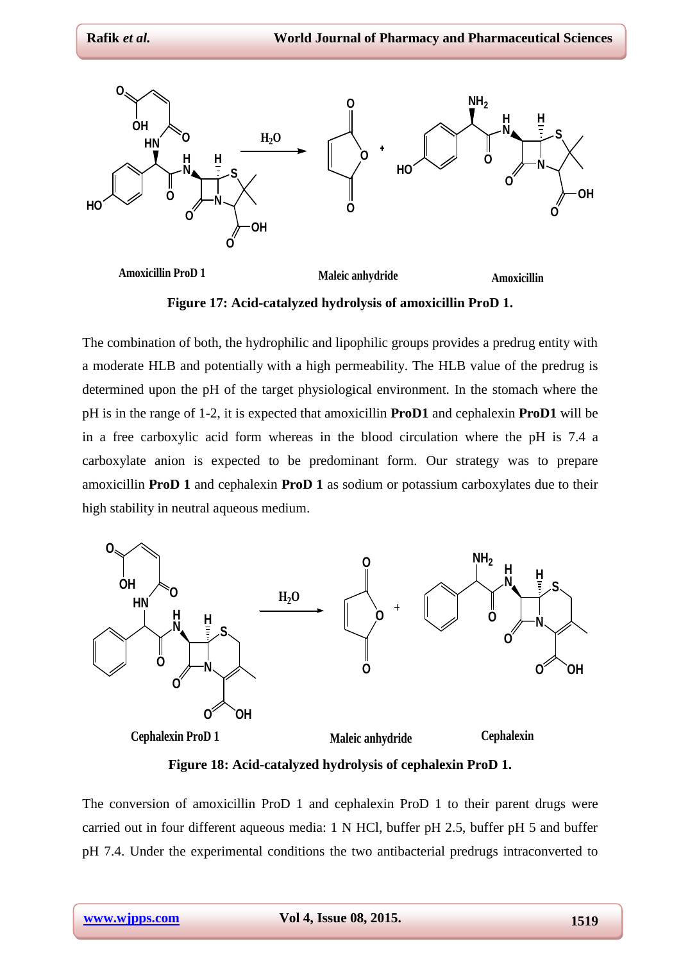

**Figure 17: Acid-catalyzed hydrolysis of amoxicillin ProD 1.**

The combination of both, the hydrophilic and lipophilic groups provides a predrug entity with a moderate HLB and potentially with a high permeability. The HLB value of the predrug is determined upon the pH of the target physiological environment. In the stomach where the pH is in the range of 1-2, it is expected that amoxicillin **ProD1** and cephalexin **ProD1** will be in a free carboxylic acid form whereas in the blood circulation where the pH is 7.4 a carboxylate anion is expected to be predominant form. Our strategy was to prepare amoxicillin **ProD 1** and cephalexin **ProD 1** as sodium or potassium carboxylates due to their high stability in neutral aqueous medium.



**Figure 18: Acid-catalyzed hydrolysis of cephalexin ProD 1.**

The conversion of amoxicillin ProD 1 and cephalexin ProD 1 to their parent drugs were carried out in four different aqueous media: 1 N HCl, buffer pH 2.5, buffer pH 5 and buffer pH 7.4. Under the experimental conditions the two antibacterial predrugs intraconverted to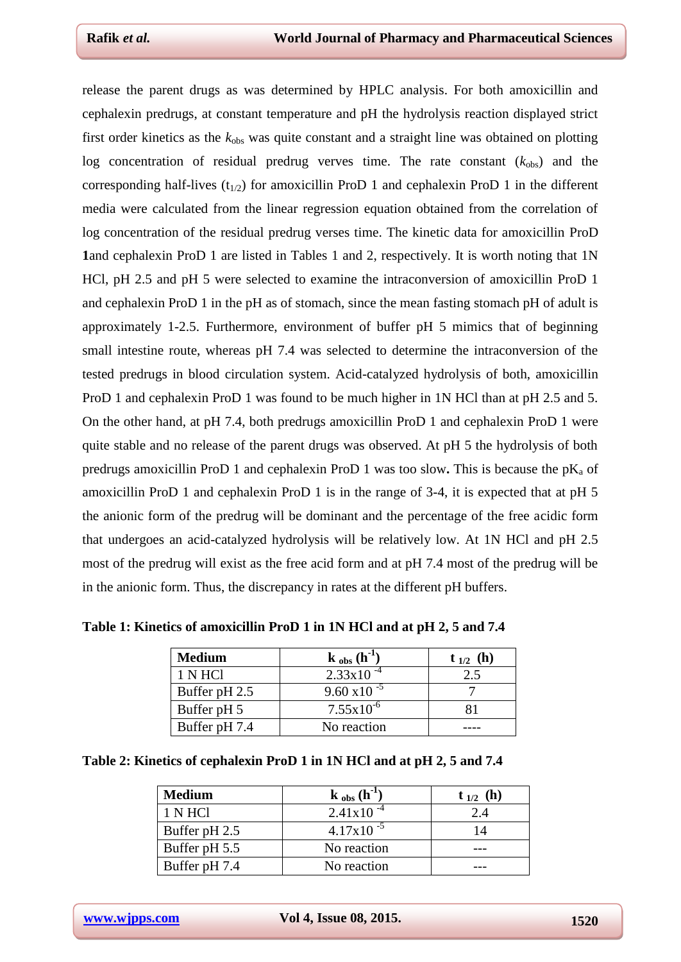release the parent drugs as was determined by HPLC analysis. For both amoxicillin and cephalexin predrugs, at constant temperature and pH the hydrolysis reaction displayed strict first order kinetics as the  $k_{obs}$  was quite constant and a straight line was obtained on plotting log concentration of residual predrug verves time. The rate constant  $(k_{obs})$  and the corresponding half-lives  $(t_{1/2})$  for amoxicillin ProD 1 and cephalexin ProD 1 in the different media were calculated from the linear regression equation obtained from the correlation of log concentration of the residual predrug verses time. The kinetic data for amoxicillin ProD **1**and cephalexin ProD 1 are listed in Tables 1 and 2, respectively. It is worth noting that 1N HCl, pH 2.5 and pH 5 were selected to examine the intraconversion of amoxicillin ProD 1 and cephalexin ProD 1 in the pH as of stomach, since the mean fasting stomach pH of adult is approximately 1-2.5. Furthermore, environment of buffer pH 5 mimics that of beginning small intestine route, whereas pH 7.4 was selected to determine the intraconversion of the tested predrugs in blood circulation system. Acid-catalyzed hydrolysis of both, amoxicillin ProD 1 and cephalexin ProD 1 was found to be much higher in 1N HCl than at pH 2.5 and 5. On the other hand, at pH 7.4, both predrugs amoxicillin ProD 1 and cephalexin ProD 1 were quite stable and no release of the parent drugs was observed. At pH 5 the hydrolysis of both predrugs amoxicillin ProD 1 and cephalexin ProD 1 was too slow. This is because the  $pK_a$  of amoxicillin ProD 1 and cephalexin ProD 1 is in the range of 3-4, it is expected that at pH 5 the anionic form of the predrug will be dominant and the percentage of the free acidic form that undergoes an acid-catalyzed hydrolysis will be relatively low. At 1N HCl and pH 2.5 most of the predrug will exist as the free acid form and at pH 7.4 most of the predrug will be in the anionic form. Thus, the discrepancy in rates at the different pH buffers.

| <b>Medium</b> | $\mathbf{k}_{obs}(\mathbf{h}^{-1})$ | $t_{1/2}$ (h) |
|---------------|-------------------------------------|---------------|
| 1 N HCl       | $2.33 \times 10^{-4}$               |               |
| Buffer pH 2.5 | $9.60 \times 10^{-5}$               |               |
| Buffer pH 5   | $7.55 \times 10^{-6}$               |               |
| Buffer pH 7.4 | No reaction                         |               |

**Table 1: Kinetics of amoxicillin ProD 1 in 1N HCl and at pH 2, 5 and 7.4**

| Table 2: Kinetics of cephalexin ProD 1 in 1N HCl and at pH 2, 5 and 7.4 |  |  |
|-------------------------------------------------------------------------|--|--|
|-------------------------------------------------------------------------|--|--|

| <b>Medium</b> | $k_{obs}$ (h <sup>-1</sup> ) | $t_{1/2}$ (h) |
|---------------|------------------------------|---------------|
| 1 N HCl       | $2.41x10^{-4}$               | 2.4           |
| Buffer pH 2.5 | $4.17x10^{-5}$               |               |
| Buffer pH 5.5 | No reaction                  |               |
| Buffer pH 7.4 | No reaction                  |               |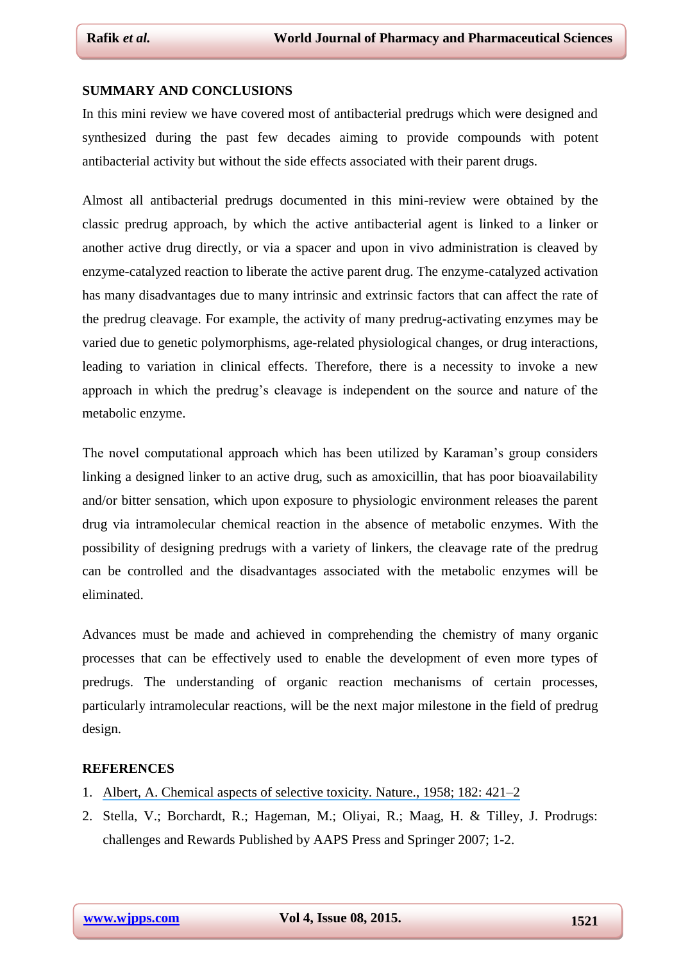#### **SUMMARY AND CONCLUSIONS**

In this mini review we have covered most of antibacterial predrugs which were designed and synthesized during the past few decades aiming to provide compounds with potent antibacterial activity but without the side effects associated with their parent drugs.

Almost all antibacterial predrugs documented in this mini-review were obtained by the classic predrug approach, by which the active antibacterial agent is linked to a linker or another active drug directly, or via a spacer and upon in vivo administration is cleaved by enzyme-catalyzed reaction to liberate the active parent drug. The enzyme-catalyzed activation has many disadvantages due to many intrinsic and extrinsic factors that can affect the rate of the predrug cleavage. For example, the activity of many predrug-activating enzymes may be varied due to genetic polymorphisms, age-related physiological changes, or drug interactions, leading to variation in clinical effects. Therefore, there is a necessity to invoke a new approach in which the predrug's cleavage is independent on the source and nature of the metabolic enzyme.

The novel computational approach which has been utilized by Karaman's group considers linking a designed linker to an active drug, such as amoxicillin, that has poor bioavailability and/or bitter sensation, which upon exposure to physiologic environment releases the parent drug via intramolecular chemical reaction in the absence of metabolic enzymes. With the possibility of designing predrugs with a variety of linkers, the cleavage rate of the predrug can be controlled and the disadvantages associated with the metabolic enzymes will be eliminated.

Advances must be made and achieved in comprehending the chemistry of many organic processes that can be effectively used to enable the development of even more types of predrugs. The understanding of organic reaction mechanisms of certain processes, particularly intramolecular reactions, will be the next major milestone in the field of predrug design.

### **REFERENCES**

- 1. [Albert, A. Chemical aspects of selective toxicity. Nature., 1958; 182:](https://www.researchgate.net/publication/9988348_Chemical_Aspects_of_Selective_Toxicity?el=1_x_8&enrichId=rgreq-a792a97ecabbe75867adbf1f2d264fb4-XXX&enrichSource=Y292ZXJQYWdlOzI4MDYwOTA3NztBUzozMzY4MDc5MjIyOTA2ODhAMTQ1NzMxMjY3NDY0NQ==) 421–2
- 2. Stella, V.; Borchardt, R.; Hageman, M.; Oliyai, R.; Maag, H. & Tilley, J. Prodrugs: challenges and Rewards Published by AAPS Press and Springer 2007; 1-2.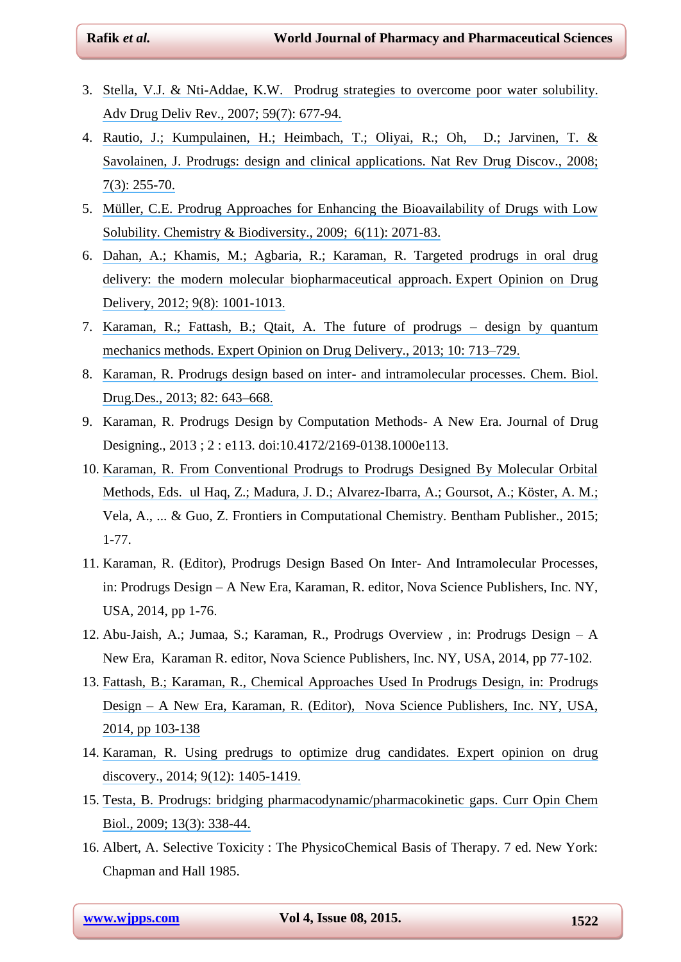- <span id="page-19-0"></span>3. [Stella, V.J. & Nti-Addae, K.W. Prodrug strategies to overcome poor water solubility.](https://www.researchgate.net/publication/6210418_Prodrug_strategies_to_overcome_poor_water_solubility?el=1_x_8&enrichId=rgreq-a792a97ecabbe75867adbf1f2d264fb4-XXX&enrichSource=Y292ZXJQYWdlOzI4MDYwOTA3NztBUzozMzY4MDc5MjIyOTA2ODhAMTQ1NzMxMjY3NDY0NQ==)  [Adv Drug Deliv Rev., 2007; 59\(7\):](https://www.researchgate.net/publication/6210418_Prodrug_strategies_to_overcome_poor_water_solubility?el=1_x_8&enrichId=rgreq-a792a97ecabbe75867adbf1f2d264fb4-XXX&enrichSource=Y292ZXJQYWdlOzI4MDYwOTA3NztBUzozMzY4MDc5MjIyOTA2ODhAMTQ1NzMxMjY3NDY0NQ==) 677-94.
- 4. [Rautio, J.; Kumpulainen, H.; Heimbach, T.; Oliyai, R.; Oh, D.; Jarvinen, T. &](https://www.researchgate.net/publication/5633050_Prodrugs_Design_and_clinical_applications?el=1_x_8&enrichId=rgreq-a792a97ecabbe75867adbf1f2d264fb4-XXX&enrichSource=Y292ZXJQYWdlOzI4MDYwOTA3NztBUzozMzY4MDc5MjIyOTA2ODhAMTQ1NzMxMjY3NDY0NQ==) Savolainen, [J. Prodrugs: design and clinical applications. Nat Rev Drug Discov., 2008;](https://www.researchgate.net/publication/5633050_Prodrugs_Design_and_clinical_applications?el=1_x_8&enrichId=rgreq-a792a97ecabbe75867adbf1f2d264fb4-XXX&enrichSource=Y292ZXJQYWdlOzI4MDYwOTA3NztBUzozMzY4MDc5MjIyOTA2ODhAMTQ1NzMxMjY3NDY0NQ==) 7(3): [255-70.](https://www.researchgate.net/publication/5633050_Prodrugs_Design_and_clinical_applications?el=1_x_8&enrichId=rgreq-a792a97ecabbe75867adbf1f2d264fb4-XXX&enrichSource=Y292ZXJQYWdlOzI4MDYwOTA3NztBUzozMzY4MDc5MjIyOTA2ODhAMTQ1NzMxMjY3NDY0NQ==)
- 5. [Müller, C.E. Prodrug Approaches for Enhancing the Bioavailability of Drugs with Low](https://www.researchgate.net/publication/40031070_Prodrug_Approaches_for_Enhancing_the_Bioavailability_of_Drugs_with_Low_Solubility?el=1_x_8&enrichId=rgreq-a792a97ecabbe75867adbf1f2d264fb4-XXX&enrichSource=Y292ZXJQYWdlOzI4MDYwOTA3NztBUzozMzY4MDc5MjIyOTA2ODhAMTQ1NzMxMjY3NDY0NQ==) Solubility. Chemistry [& Biodiversity., 2009; 6\(11\):](https://www.researchgate.net/publication/40031070_Prodrug_Approaches_for_Enhancing_the_Bioavailability_of_Drugs_with_Low_Solubility?el=1_x_8&enrichId=rgreq-a792a97ecabbe75867adbf1f2d264fb4-XXX&enrichSource=Y292ZXJQYWdlOzI4MDYwOTA3NztBUzozMzY4MDc5MjIyOTA2ODhAMTQ1NzMxMjY3NDY0NQ==) 2071-83.
- 6. [Dahan, A.; Khamis, M.; Agbaria, R.; Karaman, R. Targeted prodrugs in oral drug](https://www.researchgate.net/publication/227162588_Targeted_prodrugs_in_oral_drug_delivery_The_modern_molecular_biopharmaceutical_approach?el=1_x_8&enrichId=rgreq-a792a97ecabbe75867adbf1f2d264fb4-XXX&enrichSource=Y292ZXJQYWdlOzI4MDYwOTA3NztBUzozMzY4MDc5MjIyOTA2ODhAMTQ1NzMxMjY3NDY0NQ==) [delivery: the modern molecular biopharmaceutical approach.](https://www.researchgate.net/publication/227162588_Targeted_prodrugs_in_oral_drug_delivery_The_modern_molecular_biopharmaceutical_approach?el=1_x_8&enrichId=rgreq-a792a97ecabbe75867adbf1f2d264fb4-XXX&enrichSource=Y292ZXJQYWdlOzI4MDYwOTA3NztBUzozMzY4MDc5MjIyOTA2ODhAMTQ1NzMxMjY3NDY0NQ==) Expert Opinion on Drug Delivery, 2012; 9(8): [1001-1013.](https://www.researchgate.net/publication/227162588_Targeted_prodrugs_in_oral_drug_delivery_The_modern_molecular_biopharmaceutical_approach?el=1_x_8&enrichId=rgreq-a792a97ecabbe75867adbf1f2d264fb4-XXX&enrichSource=Y292ZXJQYWdlOzI4MDYwOTA3NztBUzozMzY4MDc5MjIyOTA2ODhAMTQ1NzMxMjY3NDY0NQ==)
- 7. [Karaman, R.; Fattash, B.; Qtait, A. The future of prodrugs –](https://www.researchgate.net/publication/236092049_The_future_of_prodrugs_-_design_by_quantum_mechanics_methods?el=1_x_8&enrichId=rgreq-a792a97ecabbe75867adbf1f2d264fb4-XXX&enrichSource=Y292ZXJQYWdlOzI4MDYwOTA3NztBUzozMzY4MDc5MjIyOTA2ODhAMTQ1NzMxMjY3NDY0NQ==) design by quantum [mechanics methods. Expert Opinion on Drug Delivery., 2013; 10:](https://www.researchgate.net/publication/236092049_The_future_of_prodrugs_-_design_by_quantum_mechanics_methods?el=1_x_8&enrichId=rgreq-a792a97ecabbe75867adbf1f2d264fb4-XXX&enrichSource=Y292ZXJQYWdlOzI4MDYwOTA3NztBUzozMzY4MDc5MjIyOTA2ODhAMTQ1NzMxMjY3NDY0NQ==) 713–729.
- 8. [Karaman, R. Prodrugs design based on inter-](https://www.researchgate.net/publication/272565621_Prodrugs_Design_Based_on_Inter-_and_Intramolecular_Processes?el=1_x_8&enrichId=rgreq-a792a97ecabbe75867adbf1f2d264fb4-XXX&enrichSource=Y292ZXJQYWdlOzI4MDYwOTA3NztBUzozMzY4MDc5MjIyOTA2ODhAMTQ1NzMxMjY3NDY0NQ==) and intramolecular processes. Chem. Biol. [Drug.Des., 2013; 82:](https://www.researchgate.net/publication/272565621_Prodrugs_Design_Based_on_Inter-_and_Intramolecular_Processes?el=1_x_8&enrichId=rgreq-a792a97ecabbe75867adbf1f2d264fb4-XXX&enrichSource=Y292ZXJQYWdlOzI4MDYwOTA3NztBUzozMzY4MDc5MjIyOTA2ODhAMTQ1NzMxMjY3NDY0NQ==) 643–668.
- 9. Karaman, R. Prodrugs Design by Computation Methods- A New Era. Journal of Drug Designing., 2013 ; 2 : e113. doi:10.4172/2169-0138.1000e113.
- 10. Karaman, R. [From Conventional Prodrugs to Prodrugs Designed By Molecular Orbital](https://www.researchgate.net/publication/271706414_FROM_CONVENTIONAL_PRODRUGS_TO_PRODRUGS_DESIGNED_BY_MOLECULAR_ORBITAL_METHODS?el=1_x_8&enrichId=rgreq-a792a97ecabbe75867adbf1f2d264fb4-XXX&enrichSource=Y292ZXJQYWdlOzI4MDYwOTA3NztBUzozMzY4MDc5MjIyOTA2ODhAMTQ1NzMxMjY3NDY0NQ==) [Methods, Eds. ul Haq, Z.; Madura, J. D.; Alvarez-Ibarra, A.; Goursot, A.; Köster, A. M.;](https://www.researchgate.net/publication/271706414_FROM_CONVENTIONAL_PRODRUGS_TO_PRODRUGS_DESIGNED_BY_MOLECULAR_ORBITAL_METHODS?el=1_x_8&enrichId=rgreq-a792a97ecabbe75867adbf1f2d264fb4-XXX&enrichSource=Y292ZXJQYWdlOzI4MDYwOTA3NztBUzozMzY4MDc5MjIyOTA2ODhAMTQ1NzMxMjY3NDY0NQ==) Vela, A., ... & Guo, Z. Frontiers in Computational Chemistry. Bentham Publisher., 2015; 1-77.
- 11. Karaman, R. (Editor), Prodrugs Design Based On Inter- And Intramolecular Processes, in: Prodrugs Design – A New Era, Karaman, R. editor, Nova Science Publishers, Inc. NY, USA, 2014, pp 1-76.
- 12. Abu-Jaish, A.; Jumaa, S.; Karaman, R., Prodrugs Overview , in: Prodrugs Design A New Era, Karaman R. editor, Nova Science Publishers, Inc. NY, USA, 2014, pp 77-102.
- 13. [Fattash, B.; Karaman, R., Chemical Approaches Used In Prodrugs Design, in: Prodrugs](https://www.researchgate.net/publication/271019801_CHEMICAL_APPROACHES_USED_IN_PRODRUGS_DESIGN?el=1_x_8&enrichId=rgreq-a792a97ecabbe75867adbf1f2d264fb4-XXX&enrichSource=Y292ZXJQYWdlOzI4MDYwOTA3NztBUzozMzY4MDc5MjIyOTA2ODhAMTQ1NzMxMjY3NDY0NQ==)  Design – [A New Era, Karaman, R. \(Editor\), Nova Science Publishers, Inc. NY, USA,](https://www.researchgate.net/publication/271019801_CHEMICAL_APPROACHES_USED_IN_PRODRUGS_DESIGN?el=1_x_8&enrichId=rgreq-a792a97ecabbe75867adbf1f2d264fb4-XXX&enrichSource=Y292ZXJQYWdlOzI4MDYwOTA3NztBUzozMzY4MDc5MjIyOTA2ODhAMTQ1NzMxMjY3NDY0NQ==) [2014, pp 103-138](https://www.researchgate.net/publication/271019801_CHEMICAL_APPROACHES_USED_IN_PRODRUGS_DESIGN?el=1_x_8&enrichId=rgreq-a792a97ecabbe75867adbf1f2d264fb4-XXX&enrichSource=Y292ZXJQYWdlOzI4MDYwOTA3NztBUzozMzY4MDc5MjIyOTA2ODhAMTQ1NzMxMjY3NDY0NQ==)
- 14. [Karaman, R. Using predrugs to optimize drug candidates. Expert opinion on drug](https://www.researchgate.net/publication/265134461_Using_predrugs_to_optimize_drug_candidates?el=1_x_8&enrichId=rgreq-a792a97ecabbe75867adbf1f2d264fb4-XXX&enrichSource=Y292ZXJQYWdlOzI4MDYwOTA3NztBUzozMzY4MDc5MjIyOTA2ODhAMTQ1NzMxMjY3NDY0NQ==) [discovery., 2014; 9\(12\):](https://www.researchgate.net/publication/265134461_Using_predrugs_to_optimize_drug_candidates?el=1_x_8&enrichId=rgreq-a792a97ecabbe75867adbf1f2d264fb4-XXX&enrichSource=Y292ZXJQYWdlOzI4MDYwOTA3NztBUzozMzY4MDc5MjIyOTA2ODhAMTQ1NzMxMjY3NDY0NQ==) 1405-1419.
- 15. [Testa, B. Prodrugs: bridging pharmacodynamic/pharmacokinetic gaps. Curr Opin Chem](https://www.researchgate.net/publication/26245233_Prodrugs_Bridging_pharmacodynamicpharmacokinetic_gaps?el=1_x_8&enrichId=rgreq-a792a97ecabbe75867adbf1f2d264fb4-XXX&enrichSource=Y292ZXJQYWdlOzI4MDYwOTA3NztBUzozMzY4MDc5MjIyOTA2ODhAMTQ1NzMxMjY3NDY0NQ==) [Biol., 2009; 13\(3\):](https://www.researchgate.net/publication/26245233_Prodrugs_Bridging_pharmacodynamicpharmacokinetic_gaps?el=1_x_8&enrichId=rgreq-a792a97ecabbe75867adbf1f2d264fb4-XXX&enrichSource=Y292ZXJQYWdlOzI4MDYwOTA3NztBUzozMzY4MDc5MjIyOTA2ODhAMTQ1NzMxMjY3NDY0NQ==) 338-44.
- 16. Albert, A. Selective Toxicity : The PhysicoChemical Basis of Therapy. 7 ed. New York: Chapman and Hall 1985.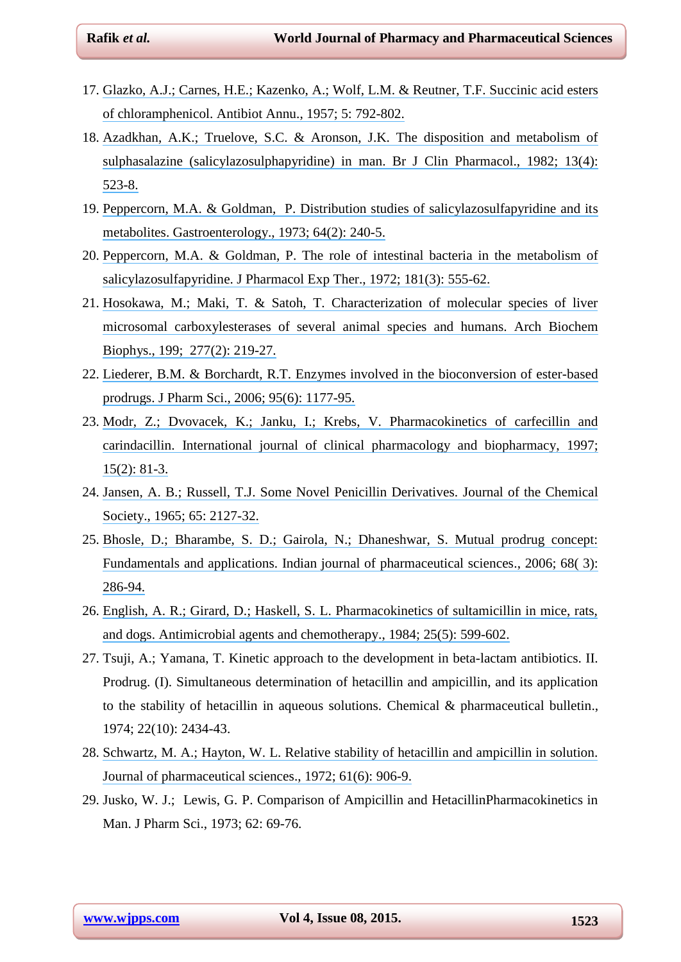- 17. [Glazko, A.J.; Carnes, H.E.; Kazenko, A.; Wolf, L.M. & Reutner, T.F. Succinic acid esters](https://www.researchgate.net/publication/10044378_Succinic_Acid_Esters_of_Chloramphenicol?el=1_x_8&enrichId=rgreq-a792a97ecabbe75867adbf1f2d264fb4-XXX&enrichSource=Y292ZXJQYWdlOzI4MDYwOTA3NztBUzozMzY4MDc5MjIyOTA2ODhAMTQ1NzMxMjY3NDY0NQ==) [of chloramphenicol. Antibiot Annu., 1957; 5:](https://www.researchgate.net/publication/10044378_Succinic_Acid_Esters_of_Chloramphenicol?el=1_x_8&enrichId=rgreq-a792a97ecabbe75867adbf1f2d264fb4-XXX&enrichSource=Y292ZXJQYWdlOzI4MDYwOTA3NztBUzozMzY4MDc5MjIyOTA2ODhAMTQ1NzMxMjY3NDY0NQ==) 792-802.
- 18. [Azadkhan, A.K.; Truelove, S.C. & Aronson, J.K. The disposition and metabolism of](https://www.researchgate.net/publication/17063889_The_disposition_and_metabolism_of_sulfasalazine_salicylazosulfapyridine_in_man?el=1_x_8&enrichId=rgreq-a792a97ecabbe75867adbf1f2d264fb4-XXX&enrichSource=Y292ZXJQYWdlOzI4MDYwOTA3NztBUzozMzY4MDc5MjIyOTA2ODhAMTQ1NzMxMjY3NDY0NQ==) [sulphasalazine \(salicylazosulphapyridine\) in man. Br J Clin Pharmacol., 1982; 13\(4\):](https://www.researchgate.net/publication/17063889_The_disposition_and_metabolism_of_sulfasalazine_salicylazosulfapyridine_in_man?el=1_x_8&enrichId=rgreq-a792a97ecabbe75867adbf1f2d264fb4-XXX&enrichSource=Y292ZXJQYWdlOzI4MDYwOTA3NztBUzozMzY4MDc5MjIyOTA2ODhAMTQ1NzMxMjY3NDY0NQ==) [523-8.](https://www.researchgate.net/publication/17063889_The_disposition_and_metabolism_of_sulfasalazine_salicylazosulfapyridine_in_man?el=1_x_8&enrichId=rgreq-a792a97ecabbe75867adbf1f2d264fb4-XXX&enrichSource=Y292ZXJQYWdlOzI4MDYwOTA3NztBUzozMzY4MDc5MjIyOTA2ODhAMTQ1NzMxMjY3NDY0NQ==)
- 19. [Peppercorn, M.A. & Goldman, P. Distribution studies of salicylazosulfapyridine and its](https://www.researchgate.net/publication/18759599_Distribution_studies_of_salicylazosulfapyridine_and_its_metabolites?el=1_x_8&enrichId=rgreq-a792a97ecabbe75867adbf1f2d264fb4-XXX&enrichSource=Y292ZXJQYWdlOzI4MDYwOTA3NztBUzozMzY4MDc5MjIyOTA2ODhAMTQ1NzMxMjY3NDY0NQ==)  [metabolites. Gastroenterology., 1973; 64\(2\):](https://www.researchgate.net/publication/18759599_Distribution_studies_of_salicylazosulfapyridine_and_its_metabolites?el=1_x_8&enrichId=rgreq-a792a97ecabbe75867adbf1f2d264fb4-XXX&enrichSource=Y292ZXJQYWdlOzI4MDYwOTA3NztBUzozMzY4MDc5MjIyOTA2ODhAMTQ1NzMxMjY3NDY0NQ==) 240-5.
- 20. [Peppercorn, M.A. & Goldman, P. The role of intestinal bacteria in the metabolism of](https://www.researchgate.net/publication/18764375_The_role_of_intestinal_bacteria_in_the_metabolism_of_salicylazosulfapyridine?el=1_x_8&enrichId=rgreq-a792a97ecabbe75867adbf1f2d264fb4-XXX&enrichSource=Y292ZXJQYWdlOzI4MDYwOTA3NztBUzozMzY4MDc5MjIyOTA2ODhAMTQ1NzMxMjY3NDY0NQ==) [salicylazosulfapyridine. J Pharmacol Exp Ther., 1972; 181\(3\):](https://www.researchgate.net/publication/18764375_The_role_of_intestinal_bacteria_in_the_metabolism_of_salicylazosulfapyridine?el=1_x_8&enrichId=rgreq-a792a97ecabbe75867adbf1f2d264fb4-XXX&enrichSource=Y292ZXJQYWdlOzI4MDYwOTA3NztBUzozMzY4MDc5MjIyOTA2ODhAMTQ1NzMxMjY3NDY0NQ==) 555-62.
- 21. [Hosokawa, M.; Maki, T. & Satoh, T. Characterization of molecular species of liver](https://www.researchgate.net/publication/20846276_Charaterization_of_molecular_species_of_liver_microsomal_carboxylesterase_of_several_animal_species_and_humans?el=1_x_8&enrichId=rgreq-a792a97ecabbe75867adbf1f2d264fb4-XXX&enrichSource=Y292ZXJQYWdlOzI4MDYwOTA3NztBUzozMzY4MDc5MjIyOTA2ODhAMTQ1NzMxMjY3NDY0NQ==) [microsomal carboxylesterases of several animal species and humans. Arch Biochem](https://www.researchgate.net/publication/20846276_Charaterization_of_molecular_species_of_liver_microsomal_carboxylesterase_of_several_animal_species_and_humans?el=1_x_8&enrichId=rgreq-a792a97ecabbe75867adbf1f2d264fb4-XXX&enrichSource=Y292ZXJQYWdlOzI4MDYwOTA3NztBUzozMzY4MDc5MjIyOTA2ODhAMTQ1NzMxMjY3NDY0NQ==) [Biophys., 199; 277\(2\):](https://www.researchgate.net/publication/20846276_Charaterization_of_molecular_species_of_liver_microsomal_carboxylesterase_of_several_animal_species_and_humans?el=1_x_8&enrichId=rgreq-a792a97ecabbe75867adbf1f2d264fb4-XXX&enrichSource=Y292ZXJQYWdlOzI4MDYwOTA3NztBUzozMzY4MDc5MjIyOTA2ODhAMTQ1NzMxMjY3NDY0NQ==) 219-27.
- 22. [Liederer, B.M. & Borchardt, R.T. Enzymes involved in the bioconversion of ester-based](https://www.researchgate.net/publication/7140784_Enzymes_involved_in_the_bioconversion_of_ester-based_prodrugs?el=1_x_8&enrichId=rgreq-a792a97ecabbe75867adbf1f2d264fb4-XXX&enrichSource=Y292ZXJQYWdlOzI4MDYwOTA3NztBUzozMzY4MDc5MjIyOTA2ODhAMTQ1NzMxMjY3NDY0NQ==) [prodrugs. J Pharm Sci., 2006; 95\(6\):](https://www.researchgate.net/publication/7140784_Enzymes_involved_in_the_bioconversion_of_ester-based_prodrugs?el=1_x_8&enrichId=rgreq-a792a97ecabbe75867adbf1f2d264fb4-XXX&enrichSource=Y292ZXJQYWdlOzI4MDYwOTA3NztBUzozMzY4MDc5MjIyOTA2ODhAMTQ1NzMxMjY3NDY0NQ==) 1177-95.
- 23. [Modr, Z.; Dvovacek, K.; Janku, I.; Krebs, V. Pharmacokinetics of carfecillin and](https://www.researchgate.net/publication/22564224_Pharmacokinetics_of_carfecillin_and_carindacillin?el=1_x_8&enrichId=rgreq-a792a97ecabbe75867adbf1f2d264fb4-XXX&enrichSource=Y292ZXJQYWdlOzI4MDYwOTA3NztBUzozMzY4MDc5MjIyOTA2ODhAMTQ1NzMxMjY3NDY0NQ==) [carindacillin. International journal of clinical pharmacology and biopharmacy, 1997;](https://www.researchgate.net/publication/22564224_Pharmacokinetics_of_carfecillin_and_carindacillin?el=1_x_8&enrichId=rgreq-a792a97ecabbe75867adbf1f2d264fb4-XXX&enrichSource=Y292ZXJQYWdlOzI4MDYwOTA3NztBUzozMzY4MDc5MjIyOTA2ODhAMTQ1NzMxMjY3NDY0NQ==) [15\(2\):](https://www.researchgate.net/publication/22564224_Pharmacokinetics_of_carfecillin_and_carindacillin?el=1_x_8&enrichId=rgreq-a792a97ecabbe75867adbf1f2d264fb4-XXX&enrichSource=Y292ZXJQYWdlOzI4MDYwOTA3NztBUzozMzY4MDc5MjIyOTA2ODhAMTQ1NzMxMjY3NDY0NQ==) 81-3.
- 24. [Jansen, A. B.; Russell, T.J. Some Novel Penicillin Derivatives. Journal of the Chemical](https://www.researchgate.net/publication/9296559_Some_novel_penicillin_derivatives?el=1_x_8&enrichId=rgreq-a792a97ecabbe75867adbf1f2d264fb4-XXX&enrichSource=Y292ZXJQYWdlOzI4MDYwOTA3NztBUzozMzY4MDc5MjIyOTA2ODhAMTQ1NzMxMjY3NDY0NQ==) [Society., 1965;](https://www.researchgate.net/publication/9296559_Some_novel_penicillin_derivatives?el=1_x_8&enrichId=rgreq-a792a97ecabbe75867adbf1f2d264fb4-XXX&enrichSource=Y292ZXJQYWdlOzI4MDYwOTA3NztBUzozMzY4MDc5MjIyOTA2ODhAMTQ1NzMxMjY3NDY0NQ==) 65: 2127-32.
- 25. [Bhosle, D.; Bharambe, S. D.; Gairola, N.; Dhaneshwar, S. Mutual prodrug concept:](https://www.researchgate.net/publication/26437723_Mutual_prodrug_concept_Fundamentals_and_applications?el=1_x_8&enrichId=rgreq-a792a97ecabbe75867adbf1f2d264fb4-XXX&enrichSource=Y292ZXJQYWdlOzI4MDYwOTA3NztBUzozMzY4MDc5MjIyOTA2ODhAMTQ1NzMxMjY3NDY0NQ==) Fundamentals and applications. [Indian journal of pharmaceutical sciences., 2006; 68\( 3\):](https://www.researchgate.net/publication/26437723_Mutual_prodrug_concept_Fundamentals_and_applications?el=1_x_8&enrichId=rgreq-a792a97ecabbe75867adbf1f2d264fb4-XXX&enrichSource=Y292ZXJQYWdlOzI4MDYwOTA3NztBUzozMzY4MDc5MjIyOTA2ODhAMTQ1NzMxMjY3NDY0NQ==) [286-94.](https://www.researchgate.net/publication/26437723_Mutual_prodrug_concept_Fundamentals_and_applications?el=1_x_8&enrichId=rgreq-a792a97ecabbe75867adbf1f2d264fb4-XXX&enrichSource=Y292ZXJQYWdlOzI4MDYwOTA3NztBUzozMzY4MDc5MjIyOTA2ODhAMTQ1NzMxMjY3NDY0NQ==)
- 26. [English, A. R.; Girard, D.; Haskell, S. L. Pharmacokinetics of sultamicillin in mice, rats,](https://www.researchgate.net/publication/16867380_Pharmacokinetics_of_sultamicillin_in_mice_rats_and_dogs?el=1_x_8&enrichId=rgreq-a792a97ecabbe75867adbf1f2d264fb4-XXX&enrichSource=Y292ZXJQYWdlOzI4MDYwOTA3NztBUzozMzY4MDc5MjIyOTA2ODhAMTQ1NzMxMjY3NDY0NQ==) [and dogs. Antimicrobial agents and chemotherapy., 1984;](https://www.researchgate.net/publication/16867380_Pharmacokinetics_of_sultamicillin_in_mice_rats_and_dogs?el=1_x_8&enrichId=rgreq-a792a97ecabbe75867adbf1f2d264fb4-XXX&enrichSource=Y292ZXJQYWdlOzI4MDYwOTA3NztBUzozMzY4MDc5MjIyOTA2ODhAMTQ1NzMxMjY3NDY0NQ==) 25(5): 599-602.
- 27. Tsuji, A.; Yamana, T. Kinetic approach to the development in beta-lactam antibiotics. II. Prodrug. (I). Simultaneous determination of hetacillin and ampicillin, and its application to the stability of hetacillin in aqueous solutions. Chemical & pharmaceutical bulletin., 1974; 22(10): 2434-43.
- 28. [Schwartz, M. A.; Hayton, W. L. Relative stability of hetacillin and ampicillin in solution.](https://www.researchgate.net/publication/18825886_Relative_stability_of_hetacillin_and_ampicillin_in_solution?el=1_x_8&enrichId=rgreq-a792a97ecabbe75867adbf1f2d264fb4-XXX&enrichSource=Y292ZXJQYWdlOzI4MDYwOTA3NztBUzozMzY4MDc5MjIyOTA2ODhAMTQ1NzMxMjY3NDY0NQ==) [Journal of pharmaceutical sciences., 1972; 61\(6\):](https://www.researchgate.net/publication/18825886_Relative_stability_of_hetacillin_and_ampicillin_in_solution?el=1_x_8&enrichId=rgreq-a792a97ecabbe75867adbf1f2d264fb4-XXX&enrichSource=Y292ZXJQYWdlOzI4MDYwOTA3NztBUzozMzY4MDc5MjIyOTA2ODhAMTQ1NzMxMjY3NDY0NQ==) 906-9.
- 29. Jusko, W. J.; Lewis, G. P. Comparison of Ampicillin and HetacillinPharmacokinetics in Man. J Pharm Sci., 1973; 62: 69-76.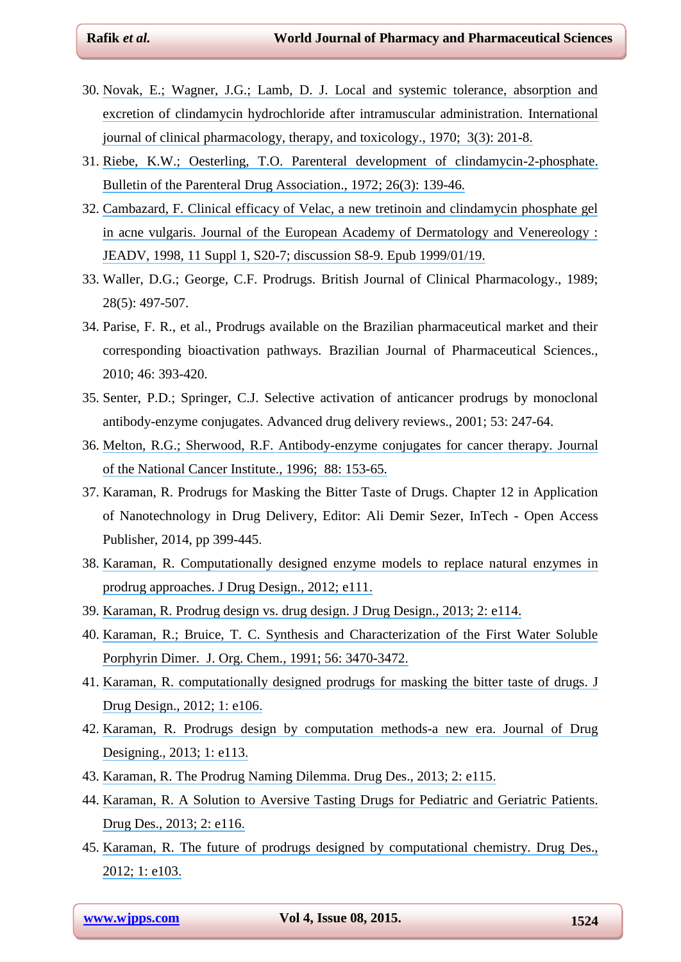- 30. [Novak, E.; Wagner, J.G.; Lamb, D. J. Local and systemic tolerance, absorption and](https://www.researchgate.net/publication/18252129_Local_and_systemic_tolerance_absorption_and_excretion_of_clindamycin_hydrochloride_after_intramuscular_administration?el=1_x_8&enrichId=rgreq-a792a97ecabbe75867adbf1f2d264fb4-XXX&enrichSource=Y292ZXJQYWdlOzI4MDYwOTA3NztBUzozMzY4MDc5MjIyOTA2ODhAMTQ1NzMxMjY3NDY0NQ==) [excretion of clindamycin hydrochloride after intramuscular administration. International](https://www.researchgate.net/publication/18252129_Local_and_systemic_tolerance_absorption_and_excretion_of_clindamycin_hydrochloride_after_intramuscular_administration?el=1_x_8&enrichId=rgreq-a792a97ecabbe75867adbf1f2d264fb4-XXX&enrichSource=Y292ZXJQYWdlOzI4MDYwOTA3NztBUzozMzY4MDc5MjIyOTA2ODhAMTQ1NzMxMjY3NDY0NQ==) [journal of clinical pharmacology, therapy, and toxicology., 1970; 3\(3\):](https://www.researchgate.net/publication/18252129_Local_and_systemic_tolerance_absorption_and_excretion_of_clindamycin_hydrochloride_after_intramuscular_administration?el=1_x_8&enrichId=rgreq-a792a97ecabbe75867adbf1f2d264fb4-XXX&enrichSource=Y292ZXJQYWdlOzI4MDYwOTA3NztBUzozMzY4MDc5MjIyOTA2ODhAMTQ1NzMxMjY3NDY0NQ==) 201-8.
- 31. [Riebe, K.W.; Oesterling, T.O. Parenteral development of clindamycin-2-phosphate.](https://www.researchgate.net/publication/18133933_Parenteral_development_of_clindamycin-2-phosphate?el=1_x_8&enrichId=rgreq-a792a97ecabbe75867adbf1f2d264fb4-XXX&enrichSource=Y292ZXJQYWdlOzI4MDYwOTA3NztBUzozMzY4MDc5MjIyOTA2ODhAMTQ1NzMxMjY3NDY0NQ==) [Bulletin of the Parenteral Drug Association., 1972; 26\(3\):](https://www.researchgate.net/publication/18133933_Parenteral_development_of_clindamycin-2-phosphate?el=1_x_8&enrichId=rgreq-a792a97ecabbe75867adbf1f2d264fb4-XXX&enrichSource=Y292ZXJQYWdlOzI4MDYwOTA3NztBUzozMzY4MDc5MjIyOTA2ODhAMTQ1NzMxMjY3NDY0NQ==) 139-46.
- 32. [Cambazard, F. Clinical efficacy of Velac, a new tretinoin and clindamycin phosphate gel](https://www.researchgate.net/publication/13397020_Clinical_efficacy_of_VelacR_a_new_tretinoin_and_clindamycin_phosphate_gel_in_acne_vulgaris?el=1_x_8&enrichId=rgreq-a792a97ecabbe75867adbf1f2d264fb4-XXX&enrichSource=Y292ZXJQYWdlOzI4MDYwOTA3NztBUzozMzY4MDc5MjIyOTA2ODhAMTQ1NzMxMjY3NDY0NQ==) [in acne vulgaris. Journal of the European Academy of Dermatology and Venereology :](https://www.researchgate.net/publication/13397020_Clinical_efficacy_of_VelacR_a_new_tretinoin_and_clindamycin_phosphate_gel_in_acne_vulgaris?el=1_x_8&enrichId=rgreq-a792a97ecabbe75867adbf1f2d264fb4-XXX&enrichSource=Y292ZXJQYWdlOzI4MDYwOTA3NztBUzozMzY4MDc5MjIyOTA2ODhAMTQ1NzMxMjY3NDY0NQ==) [JEADV, 1998, 11 Suppl 1, S20-7; discussion S8-9. Epub 1999/01/19.](https://www.researchgate.net/publication/13397020_Clinical_efficacy_of_VelacR_a_new_tretinoin_and_clindamycin_phosphate_gel_in_acne_vulgaris?el=1_x_8&enrichId=rgreq-a792a97ecabbe75867adbf1f2d264fb4-XXX&enrichSource=Y292ZXJQYWdlOzI4MDYwOTA3NztBUzozMzY4MDc5MjIyOTA2ODhAMTQ1NzMxMjY3NDY0NQ==)
- <span id="page-21-1"></span>33. Waller, D.G.; George, C.F. Prodrugs*.* British Journal of Clinical Pharmacology., 1989; 28(5): 497-507.
- 34. Parise, F. R., et al., Prodrugs available on the Brazilian pharmaceutical market and their corresponding bioactivation pathways*.* Brazilian Journal of Pharmaceutical Sciences., 2010; 46: 393-420.
- <span id="page-21-0"></span>35. Senter, P.D.; Springer, C.J. Selective activation of anticancer prodrugs by monoclonal antibody-enzyme conjugates. Advanced drug delivery reviews., 2001; 53: 247-64.
- 36. [Melton, R.G.; Sherwood, R.F. Antibody-enzyme conjugates for cancer therapy. Journal](https://www.researchgate.net/publication/14567050_Antibody-Enzyme_Conjugates_for_Cancer_Therapy?el=1_x_8&enrichId=rgreq-a792a97ecabbe75867adbf1f2d264fb4-XXX&enrichSource=Y292ZXJQYWdlOzI4MDYwOTA3NztBUzozMzY4MDc5MjIyOTA2ODhAMTQ1NzMxMjY3NDY0NQ==)  [of the National Cancer Institute., 1996;](https://www.researchgate.net/publication/14567050_Antibody-Enzyme_Conjugates_for_Cancer_Therapy?el=1_x_8&enrichId=rgreq-a792a97ecabbe75867adbf1f2d264fb4-XXX&enrichSource=Y292ZXJQYWdlOzI4MDYwOTA3NztBUzozMzY4MDc5MjIyOTA2ODhAMTQ1NzMxMjY3NDY0NQ==) 88: 153-65.
- 37. Karaman, R. Prodrugs for Masking the Bitter Taste of Drugs. Chapter 12 in Application of Nanotechnology in Drug Delivery, Editor: Ali Demir Sezer, InTech - Open Access Publisher, 2014, pp 399-445.
- 38. [Karaman, R. Computationally designed enzyme models to replace natural enzymes in](https://www.researchgate.net/publication/236108891_Computationally_Designed_Enzyme_Models_To_Replace_Natural_Enzymes_In_Prodrug_Approaches?el=1_x_8&enrichId=rgreq-a792a97ecabbe75867adbf1f2d264fb4-XXX&enrichSource=Y292ZXJQYWdlOzI4MDYwOTA3NztBUzozMzY4MDc5MjIyOTA2ODhAMTQ1NzMxMjY3NDY0NQ==) [prodrug approaches. J Drug Design., 2012;](https://www.researchgate.net/publication/236108891_Computationally_Designed_Enzyme_Models_To_Replace_Natural_Enzymes_In_Prodrug_Approaches?el=1_x_8&enrichId=rgreq-a792a97ecabbe75867adbf1f2d264fb4-XXX&enrichSource=Y292ZXJQYWdlOzI4MDYwOTA3NztBUzozMzY4MDc5MjIyOTA2ODhAMTQ1NzMxMjY3NDY0NQ==) e111.
- 39. Karaman, R. Prodrug design [vs. drug design. J Drug Design., 2013; 2:](https://www.researchgate.net/publication/236595644_Prodrug_Design_vs_Drug_Design?el=1_x_8&enrichId=rgreq-a792a97ecabbe75867adbf1f2d264fb4-XXX&enrichSource=Y292ZXJQYWdlOzI4MDYwOTA3NztBUzozMzY4MDc5MjIyOTA2ODhAMTQ1NzMxMjY3NDY0NQ==) e114.
- 40. [Karaman, R.; Bruice, T. C. Synthesis and Characterization of the First Water Soluble](https://www.researchgate.net/publication/231566501_Synthesis_and_Characterization_of_the_First_Water-Soluble_Closely_Interspaced_Cofacial_Porphyrin_Dimer?el=1_x_8&enrichId=rgreq-a792a97ecabbe75867adbf1f2d264fb4-XXX&enrichSource=Y292ZXJQYWdlOzI4MDYwOTA3NztBUzozMzY4MDc5MjIyOTA2ODhAMTQ1NzMxMjY3NDY0NQ==) [Porphyrin Dimer. J. Org. Chem., 1991; 56:](https://www.researchgate.net/publication/231566501_Synthesis_and_Characterization_of_the_First_Water-Soluble_Closely_Interspaced_Cofacial_Porphyrin_Dimer?el=1_x_8&enrichId=rgreq-a792a97ecabbe75867adbf1f2d264fb4-XXX&enrichSource=Y292ZXJQYWdlOzI4MDYwOTA3NztBUzozMzY4MDc5MjIyOTA2ODhAMTQ1NzMxMjY3NDY0NQ==) 3470-3472.
- 41. [Karaman, R. computationally designed prodrugs for masking the bitter taste of drugs. J](https://www.researchgate.net/publication/232802929_Computationally_Designed_Prodrugs_for_Masking_the_Bitter_Taste_of_Drugs?el=1_x_8&enrichId=rgreq-a792a97ecabbe75867adbf1f2d264fb4-XXX&enrichSource=Y292ZXJQYWdlOzI4MDYwOTA3NztBUzozMzY4MDc5MjIyOTA2ODhAMTQ1NzMxMjY3NDY0NQ==) [Drug Design., 2012; 1:](https://www.researchgate.net/publication/232802929_Computationally_Designed_Prodrugs_for_Masking_the_Bitter_Taste_of_Drugs?el=1_x_8&enrichId=rgreq-a792a97ecabbe75867adbf1f2d264fb4-XXX&enrichSource=Y292ZXJQYWdlOzI4MDYwOTA3NztBUzozMzY4MDc5MjIyOTA2ODhAMTQ1NzMxMjY3NDY0NQ==) e106.
- 42. [Karaman, R. Prodrugs design by computation methods-a new](https://www.researchgate.net/publication/235743889_Prodrugs_Design_by_Computation_Methods-_A_New_Era?el=1_x_8&enrichId=rgreq-a792a97ecabbe75867adbf1f2d264fb4-XXX&enrichSource=Y292ZXJQYWdlOzI4MDYwOTA3NztBUzozMzY4MDc5MjIyOTA2ODhAMTQ1NzMxMjY3NDY0NQ==) era. Journal of Drug [Designing., 2013; 1:](https://www.researchgate.net/publication/235743889_Prodrugs_Design_by_Computation_Methods-_A_New_Era?el=1_x_8&enrichId=rgreq-a792a97ecabbe75867adbf1f2d264fb4-XXX&enrichSource=Y292ZXJQYWdlOzI4MDYwOTA3NztBUzozMzY4MDc5MjIyOTA2ODhAMTQ1NzMxMjY3NDY0NQ==) e113.
- 43. Karaman, R. The Prodrug [Naming Dilemma. Drug Des., 2013; 2:](https://www.researchgate.net/publication/239949229_The_Prodrug_Naming_Dilemma?el=1_x_8&enrichId=rgreq-a792a97ecabbe75867adbf1f2d264fb4-XXX&enrichSource=Y292ZXJQYWdlOzI4MDYwOTA3NztBUzozMzY4MDc5MjIyOTA2ODhAMTQ1NzMxMjY3NDY0NQ==) e115.
- 44. [Karaman, R. A Solution to Aversive Tasting Drugs for Pediatric and Geriatric Patients.](https://www.researchgate.net/publication/256455201_A_Solution_to_Aversive_Tasting_Drugs_for_Pediatric_and_Geriatric_Patients?el=1_x_8&enrichId=rgreq-a792a97ecabbe75867adbf1f2d264fb4-XXX&enrichSource=Y292ZXJQYWdlOzI4MDYwOTA3NztBUzozMzY4MDc5MjIyOTA2ODhAMTQ1NzMxMjY3NDY0NQ==) [Drug Des., 2013; 2:](https://www.researchgate.net/publication/256455201_A_Solution_to_Aversive_Tasting_Drugs_for_Pediatric_and_Geriatric_Patients?el=1_x_8&enrichId=rgreq-a792a97ecabbe75867adbf1f2d264fb4-XXX&enrichSource=Y292ZXJQYWdlOzI4MDYwOTA3NztBUzozMzY4MDc5MjIyOTA2ODhAMTQ1NzMxMjY3NDY0NQ==) e116.
- 45. [Karaman, R. The future of prodrugs designed by computational chemistry. Drug Des.,](https://www.researchgate.net/publication/232803336_The_Future_of_Prodrugs_Designed_by_Computational_Chemistry?el=1_x_8&enrichId=rgreq-a792a97ecabbe75867adbf1f2d264fb4-XXX&enrichSource=Y292ZXJQYWdlOzI4MDYwOTA3NztBUzozMzY4MDc5MjIyOTA2ODhAMTQ1NzMxMjY3NDY0NQ==) [2012; 1:](https://www.researchgate.net/publication/232803336_The_Future_of_Prodrugs_Designed_by_Computational_Chemistry?el=1_x_8&enrichId=rgreq-a792a97ecabbe75867adbf1f2d264fb4-XXX&enrichSource=Y292ZXJQYWdlOzI4MDYwOTA3NztBUzozMzY4MDc5MjIyOTA2ODhAMTQ1NzMxMjY3NDY0NQ==) e103.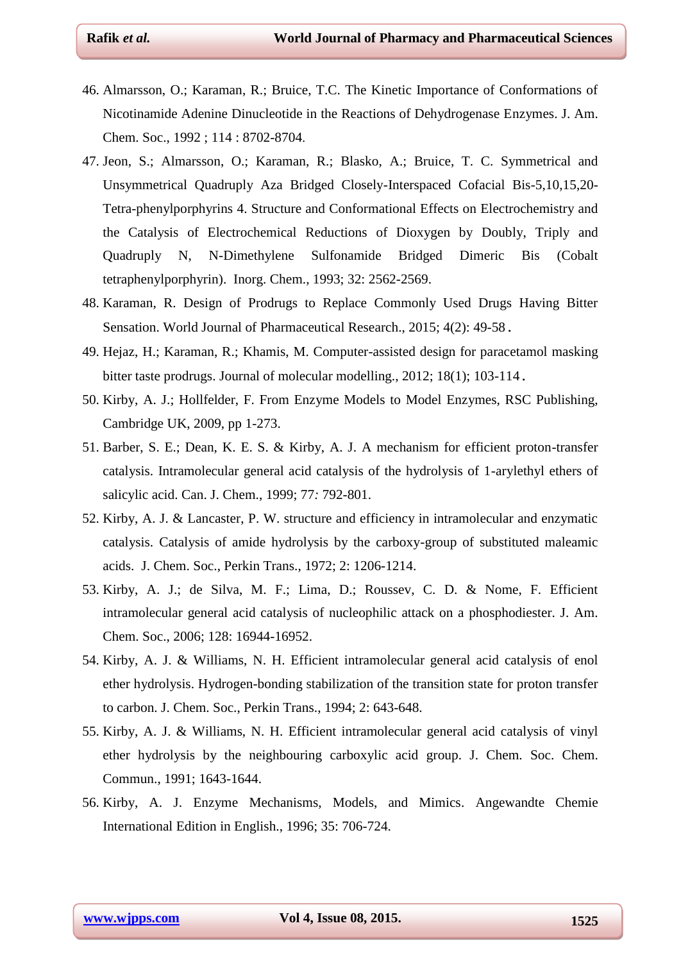- 46. Almarsson, O.; Karaman, R.; Bruice, T.C. The Kinetic Importance of Conformations of Nicotinamide Adenine Dinucleotide in the Reactions of Dehydrogenase Enzymes. J. Am. Chem. Soc., 1992 ; 114 : 8702-8704.
- 47. Jeon, S.; Almarsson, O.; Karaman, R.; Blasko, A.; Bruice, T. C. Symmetrical and Unsymmetrical Quadruply Aza Bridged Closely-Interspaced Cofacial Bis-5,10,15,20- Tetra-phenylporphyrins 4. Structure and Conformational Effects on Electrochemistry and the Catalysis of Electrochemical Reductions of Dioxygen by Doubly, Triply and Quadruply N, N-Dimethylene Sulfonamide Bridged Dimeric Bis (Cobalt tetraphenylporphyrin). Inorg. Chem., 1993; 32: 2562-2569.
- 48. Karaman, R. Design of Prodrugs to Replace Commonly Used Drugs Having Bitter Sensation. World Journal of Pharmaceutical Research., 2015; 4(2): 49-58.
- 49. Hejaz, H.; Karaman, R.; Khamis, M. Computer-assisted design for paracetamol masking bitter taste prodrugs. Journal of molecular modelling., 2012; 18(1); 103-114.
- 50. Kirby, A. J.; Hollfelder, F. From Enzyme Models to Model Enzymes, RSC Publishing, Cambridge UK, 2009, pp 1-273.
- 51. Barber, S. E.; Dean, K. E. S. & Kirby, A. J. A mechanism for efficient proton-transfer catalysis. Intramolecular general acid catalysis of the hydrolysis of 1-arylethyl ethers of salicylic acid. Can. J. Chem., 1999; 77*:* 792-801.
- 52. Kirby, A. J. & Lancaster, P. W. structure and efficiency in intramolecular and enzymatic catalysis. Catalysis of amide hydrolysis by the carboxy-group of substituted maleamic acids. J. Chem. Soc., Perkin Trans., 1972; 2: 1206-1214.
- 53. Kirby, A. J.; de Silva, M. F.; Lima, D.; Roussev, C. D. & Nome, F. Efficient intramolecular general acid catalysis of nucleophilic attack on a phosphodiester. J. Am. Chem. Soc., 2006; 128: 16944-16952.
- 54. Kirby, A. J. & Williams, N. H. Efficient intramolecular general acid catalysis of enol ether hydrolysis. Hydrogen-bonding stabilization of the transition state for proton transfer to carbon. J. Chem. Soc., Perkin Trans., 1994; 2: 643-648.
- 55. Kirby, A. J. & Williams, N. H. Efficient intramolecular general acid catalysis of vinyl ether hydrolysis by the neighbouring carboxylic acid group. J. Chem. Soc. Chem. Commun., 1991; 1643-1644.
- 56. Kirby, A. J. Enzyme Mechanisms, Models, and Mimics. Angewandte Chemie International Edition in English., 1996; 35: 706-724.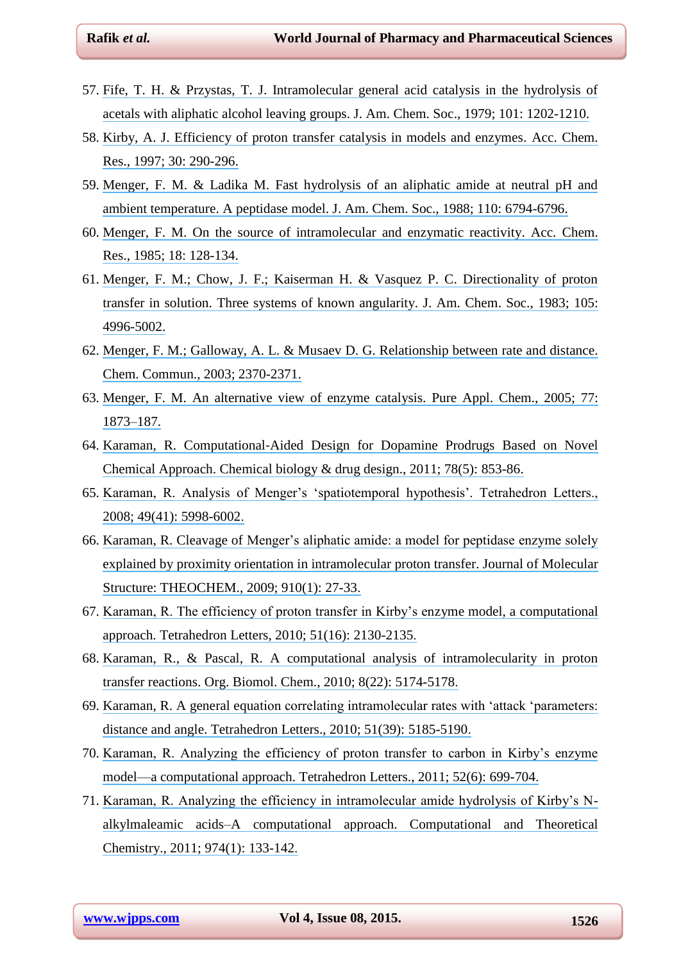- 57. [Fife, T. H. & Przystas, T. J. Intramolecular general acid catalysis in the hydrolysis of](https://www.researchgate.net/publication/231462499_Intramolecular_general_acid_catalysis_in_the_hydrolysis_of_acetals_with_aliphatic_alcohol_leaving_groups?el=1_x_8&enrichId=rgreq-a792a97ecabbe75867adbf1f2d264fb4-XXX&enrichSource=Y292ZXJQYWdlOzI4MDYwOTA3NztBUzozMzY4MDc5MjIyOTA2ODhAMTQ1NzMxMjY3NDY0NQ==) [acetals with aliphatic alcohol leaving groups. J. Am. Chem. Soc., 1979;](https://www.researchgate.net/publication/231462499_Intramolecular_general_acid_catalysis_in_the_hydrolysis_of_acetals_with_aliphatic_alcohol_leaving_groups?el=1_x_8&enrichId=rgreq-a792a97ecabbe75867adbf1f2d264fb4-XXX&enrichSource=Y292ZXJQYWdlOzI4MDYwOTA3NztBUzozMzY4MDc5MjIyOTA2ODhAMTQ1NzMxMjY3NDY0NQ==) 101: 1202-1210.
- 58. [Kirby, A. J. Efficiency of proton transfer catalysis in models and enzymes. Acc. Chem.](https://www.researchgate.net/publication/231208937_Efficiency_of_Proton_Transfer_Catalysis_in_Models_and_Enzymes?el=1_x_8&enrichId=rgreq-a792a97ecabbe75867adbf1f2d264fb4-XXX&enrichSource=Y292ZXJQYWdlOzI4MDYwOTA3NztBUzozMzY4MDc5MjIyOTA2ODhAMTQ1NzMxMjY3NDY0NQ==) Res., 1997; [30: 290-296.](https://www.researchgate.net/publication/231208937_Efficiency_of_Proton_Transfer_Catalysis_in_Models_and_Enzymes?el=1_x_8&enrichId=rgreq-a792a97ecabbe75867adbf1f2d264fb4-XXX&enrichSource=Y292ZXJQYWdlOzI4MDYwOTA3NztBUzozMzY4MDc5MjIyOTA2ODhAMTQ1NzMxMjY3NDY0NQ==)
- 59. [Menger, F. M. & Ladika M. Fast hydrolysis of an aliphatic amide at neutral pH and](https://www.researchgate.net/publication/231446078_Fast_hydrolysis_of_an_aliphatic_amide_at_neutral_pH_and_ambient_temperature_A_peptidase_model?el=1_x_8&enrichId=rgreq-a792a97ecabbe75867adbf1f2d264fb4-XXX&enrichSource=Y292ZXJQYWdlOzI4MDYwOTA3NztBUzozMzY4MDc5MjIyOTA2ODhAMTQ1NzMxMjY3NDY0NQ==) ambient temperature. A peptidase [model. J. Am. Chem. Soc., 1988; 110:](https://www.researchgate.net/publication/231446078_Fast_hydrolysis_of_an_aliphatic_amide_at_neutral_pH_and_ambient_temperature_A_peptidase_model?el=1_x_8&enrichId=rgreq-a792a97ecabbe75867adbf1f2d264fb4-XXX&enrichSource=Y292ZXJQYWdlOzI4MDYwOTA3NztBUzozMzY4MDc5MjIyOTA2ODhAMTQ1NzMxMjY3NDY0NQ==) 6794-6796.
- 60. [Menger, F. M. On the source of intramolecular and enzymatic reactivity. Acc. Chem.](https://www.researchgate.net/publication/231207627_On_the_source_of_intramolecular_and_enzymatic_reactivity?el=1_x_8&enrichId=rgreq-a792a97ecabbe75867adbf1f2d264fb4-XXX&enrichSource=Y292ZXJQYWdlOzI4MDYwOTA3NztBUzozMzY4MDc5MjIyOTA2ODhAMTQ1NzMxMjY3NDY0NQ==) [Res., 1985; 18:](https://www.researchgate.net/publication/231207627_On_the_source_of_intramolecular_and_enzymatic_reactivity?el=1_x_8&enrichId=rgreq-a792a97ecabbe75867adbf1f2d264fb4-XXX&enrichSource=Y292ZXJQYWdlOzI4MDYwOTA3NztBUzozMzY4MDc5MjIyOTA2ODhAMTQ1NzMxMjY3NDY0NQ==) 128-134.
- 61. [Menger, F. M.; Chow, J. F.; Kaiserman H. & Vasquez P. C. Directionality of proton](https://www.researchgate.net/publication/231453933_Directionality_of_proton_transfer_in_solution_Three_systems_of_known_angularity?el=1_x_8&enrichId=rgreq-a792a97ecabbe75867adbf1f2d264fb4-XXX&enrichSource=Y292ZXJQYWdlOzI4MDYwOTA3NztBUzozMzY4MDc5MjIyOTA2ODhAMTQ1NzMxMjY3NDY0NQ==) [transfer in solution. Three systems of known angularity. J. Am. Chem. Soc., 1983; 105:](https://www.researchgate.net/publication/231453933_Directionality_of_proton_transfer_in_solution_Three_systems_of_known_angularity?el=1_x_8&enrichId=rgreq-a792a97ecabbe75867adbf1f2d264fb4-XXX&enrichSource=Y292ZXJQYWdlOzI4MDYwOTA3NztBUzozMzY4MDc5MjIyOTA2ODhAMTQ1NzMxMjY3NDY0NQ==) [4996-5002.](https://www.researchgate.net/publication/231453933_Directionality_of_proton_transfer_in_solution_Three_systems_of_known_angularity?el=1_x_8&enrichId=rgreq-a792a97ecabbe75867adbf1f2d264fb4-XXX&enrichSource=Y292ZXJQYWdlOzI4MDYwOTA3NztBUzozMzY4MDc5MjIyOTA2ODhAMTQ1NzMxMjY3NDY0NQ==)
- 62. [Menger, F. M.; Galloway, A. L. & Musaev D. G. Relationship between rate and distance.](https://www.researchgate.net/publication/9072303_Relationship_between_rate_and_distance?el=1_x_8&enrichId=rgreq-a792a97ecabbe75867adbf1f2d264fb4-XXX&enrichSource=Y292ZXJQYWdlOzI4MDYwOTA3NztBUzozMzY4MDc5MjIyOTA2ODhAMTQ1NzMxMjY3NDY0NQ==) [Chem. Commun., 2003;](https://www.researchgate.net/publication/9072303_Relationship_between_rate_and_distance?el=1_x_8&enrichId=rgreq-a792a97ecabbe75867adbf1f2d264fb4-XXX&enrichSource=Y292ZXJQYWdlOzI4MDYwOTA3NztBUzozMzY4MDc5MjIyOTA2ODhAMTQ1NzMxMjY3NDY0NQ==) 2370-2371.
- 63. [Menger, F. M. An alternative view of enzyme catalysis. Pure Appl. Chem., 2005; 77:](https://www.researchgate.net/publication/238097769_An_alternative_view_of_enzyme_catalysis?el=1_x_8&enrichId=rgreq-a792a97ecabbe75867adbf1f2d264fb4-XXX&enrichSource=Y292ZXJQYWdlOzI4MDYwOTA3NztBUzozMzY4MDc5MjIyOTA2ODhAMTQ1NzMxMjY3NDY0NQ==) [1873–187.](https://www.researchgate.net/publication/238097769_An_alternative_view_of_enzyme_catalysis?el=1_x_8&enrichId=rgreq-a792a97ecabbe75867adbf1f2d264fb4-XXX&enrichSource=Y292ZXJQYWdlOzI4MDYwOTA3NztBUzozMzY4MDc5MjIyOTA2ODhAMTQ1NzMxMjY3NDY0NQ==)
- 64. Karaman, R. Computational‐[Aided Design for Dopamine Prodrugs Based on Novel](https://www.researchgate.net/publication/51554737_Computational-Aided_Design_for_Dopamine_Prodrugs_Based_on_Novel_Chemical_Approach?el=1_x_8&enrichId=rgreq-a792a97ecabbe75867adbf1f2d264fb4-XXX&enrichSource=Y292ZXJQYWdlOzI4MDYwOTA3NztBUzozMzY4MDc5MjIyOTA2ODhAMTQ1NzMxMjY3NDY0NQ==) Chemical Approach. [Chemical biology & drug design., 2011; 78\(5\):](https://www.researchgate.net/publication/51554737_Computational-Aided_Design_for_Dopamine_Prodrugs_Based_on_Novel_Chemical_Approach?el=1_x_8&enrichId=rgreq-a792a97ecabbe75867adbf1f2d264fb4-XXX&enrichSource=Y292ZXJQYWdlOzI4MDYwOTA3NztBUzozMzY4MDc5MjIyOTA2ODhAMTQ1NzMxMjY3NDY0NQ==) 853-86.
- 65. [Karaman, R. Analysis of Menger's ‗spatiotemporal hypothesis'. Tetrahedron Letters.,](https://www.researchgate.net/publication/229122323_Analysis_of_Menger) [2008; 49\(41\):](https://www.researchgate.net/publication/229122323_Analysis_of_Menger) 5998-6002.
- 66. Karaman, R. Cleavage of [Menger's aliphatic amide: a model for peptidase enzyme solely](https://www.researchgate.net/publication/232808040_Cleavage_of_Menger) [explained by proximity orientation in intramolecular proton transfer. Journal of Molecular](https://www.researchgate.net/publication/232808040_Cleavage_of_Menger) [Structure: THEOCHEM., 2009; 910\(1\):](https://www.researchgate.net/publication/232808040_Cleavage_of_Menger) 27-33.
- 67. [Karaman, R. The efficiency of proton transfer in Kirby's enzyme model, a computational](https://www.researchgate.net/publication/244236800_The_efficiency_of_proton_transfer_in_Kirby) [approach. Tetrahedron Letters, 2010; 51\(16\):](https://www.researchgate.net/publication/244236800_The_efficiency_of_proton_transfer_in_Kirby) 2130-2135.
- 68. [Karaman, R., & Pascal, R. A computational analysis of intramolecularity in proton](https://www.researchgate.net/publication/46289200_Computational_analysis_of_intramolecularity_in_proton_transfer_reactions?el=1_x_8&enrichId=rgreq-a792a97ecabbe75867adbf1f2d264fb4-XXX&enrichSource=Y292ZXJQYWdlOzI4MDYwOTA3NztBUzozMzY4MDc5MjIyOTA2ODhAMTQ1NzMxMjY3NDY0NQ==) [transfer reactions. Org. Biomol. Chem., 2010; 8\(22\):](https://www.researchgate.net/publication/46289200_Computational_analysis_of_intramolecularity_in_proton_transfer_reactions?el=1_x_8&enrichId=rgreq-a792a97ecabbe75867adbf1f2d264fb4-XXX&enrichSource=Y292ZXJQYWdlOzI4MDYwOTA3NztBUzozMzY4MDc5MjIyOTA2ODhAMTQ1NzMxMjY3NDY0NQ==) 5174-5178.
- 69. Karaman, R. A general equation correlating intramolecular rates with 'attack 'parameters: distance [and angle. Tetrahedron Letters., 2010; 51\(39\):](https://www.researchgate.net/publication/232808015_A_general_equation_correlating_intramolecular_rates_with_) 5185-5190.
- 70. [Karaman, R. Analyzing the efficiency of proton transfer to carbon in Kirby's enzyme](https://www.researchgate.net/publication/229122534_Analyzing_the_efficiency_of_proton_transfer_to_carbon_in_Kirby) [model—a computational approach. Tetrahedron Letters., 2011; 52\(6\):](https://www.researchgate.net/publication/229122534_Analyzing_the_efficiency_of_proton_transfer_to_carbon_in_Kirby) 699-704.
- 71. [Karaman, R. Analyzing the efficiency in intramolecular amide hydrolysis of Kirby's N](https://www.researchgate.net/publication/232956980_Author)[alkylmaleamic acids–A computational approach. Computational and Theoretical](https://www.researchgate.net/publication/232956980_Author) [Chemistry., 2011; 974\(1\):](https://www.researchgate.net/publication/232956980_Author) 133-142.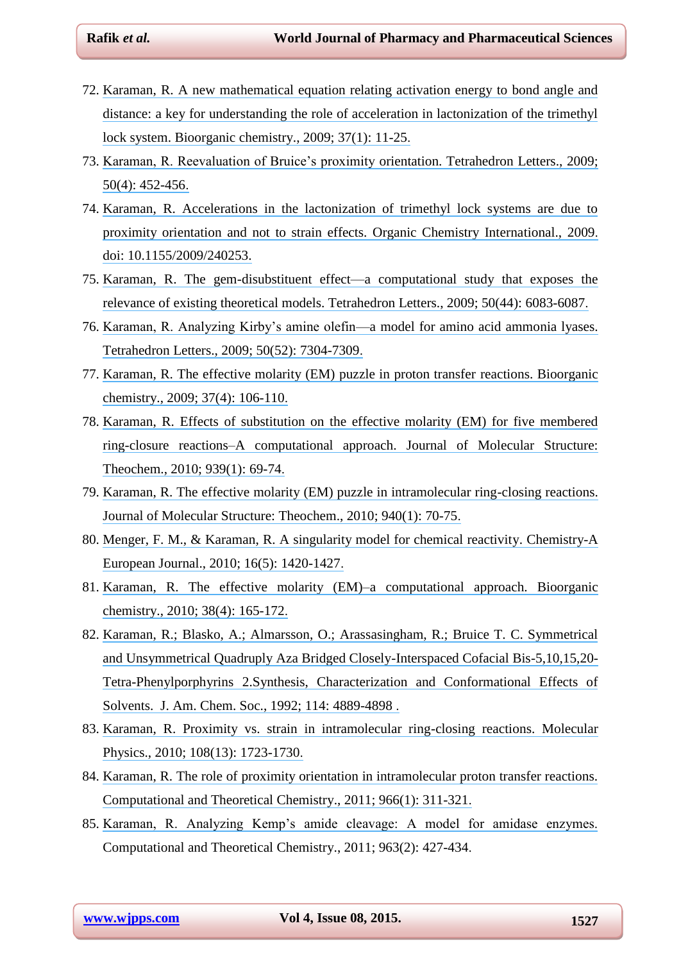- 72. [Karaman, R. A new mathematical equation relating activation energy to bond angle and](https://www.researchgate.net/publication/23415519_A_new_mathematical_equation_relating_activation_energy_to_bond_angle_and_distance_A_key_for_understanding_the_role_of_acceleration_in_lactonization_of_the_trimethyl_lock_system?el=1_x_8&enrichId=rgreq-a792a97ecabbe75867adbf1f2d264fb4-XXX&enrichSource=Y292ZXJQYWdlOzI4MDYwOTA3NztBUzozMzY4MDc5MjIyOTA2ODhAMTQ1NzMxMjY3NDY0NQ==) [distance: a key for understanding the role of acceleration in lactonization of the trimethyl](https://www.researchgate.net/publication/23415519_A_new_mathematical_equation_relating_activation_energy_to_bond_angle_and_distance_A_key_for_understanding_the_role_of_acceleration_in_lactonization_of_the_trimethyl_lock_system?el=1_x_8&enrichId=rgreq-a792a97ecabbe75867adbf1f2d264fb4-XXX&enrichSource=Y292ZXJQYWdlOzI4MDYwOTA3NztBUzozMzY4MDc5MjIyOTA2ODhAMTQ1NzMxMjY3NDY0NQ==) [lock system. Bioorganic chemistry., 2009; 37\(1\):](https://www.researchgate.net/publication/23415519_A_new_mathematical_equation_relating_activation_energy_to_bond_angle_and_distance_A_key_for_understanding_the_role_of_acceleration_in_lactonization_of_the_trimethyl_lock_system?el=1_x_8&enrichId=rgreq-a792a97ecabbe75867adbf1f2d264fb4-XXX&enrichSource=Y292ZXJQYWdlOzI4MDYwOTA3NztBUzozMzY4MDc5MjIyOTA2ODhAMTQ1NzMxMjY3NDY0NQ==) 11-25.
- 73. [Karaman, R. Reevaluation of Bruice's proximity orientation. Tetrahedron Letters., 2009;](https://www.researchgate.net/publication/229182747_Revaluation_of_Bruice) 50(4): [452-456.](https://www.researchgate.net/publication/229182747_Revaluation_of_Bruice)
- 74. [Karaman, R. Accelerations in the lactonization of trimethyl lock systems are due to](https://www.researchgate.net/publication/26620546_Accelerations_in_the_Lactonization_of_Trimethyl_Lock_Systems_Are_due_to_Proximity_Orientation_and_not_to_Strain_Effects?el=1_x_8&enrichId=rgreq-a792a97ecabbe75867adbf1f2d264fb4-XXX&enrichSource=Y292ZXJQYWdlOzI4MDYwOTA3NztBUzozMzY4MDc5MjIyOTA2ODhAMTQ1NzMxMjY3NDY0NQ==) [proximity orientation and not to strain effects. Organic Chemistry International.,](https://www.researchgate.net/publication/26620546_Accelerations_in_the_Lactonization_of_Trimethyl_Lock_Systems_Are_due_to_Proximity_Orientation_and_not_to_Strain_Effects?el=1_x_8&enrichId=rgreq-a792a97ecabbe75867adbf1f2d264fb4-XXX&enrichSource=Y292ZXJQYWdlOzI4MDYwOTA3NztBUzozMzY4MDc5MjIyOTA2ODhAMTQ1NzMxMjY3NDY0NQ==) 2009. [doi: 10.1155/2009/240253.](https://www.researchgate.net/publication/26620546_Accelerations_in_the_Lactonization_of_Trimethyl_Lock_Systems_Are_due_to_Proximity_Orientation_and_not_to_Strain_Effects?el=1_x_8&enrichId=rgreq-a792a97ecabbe75867adbf1f2d264fb4-XXX&enrichSource=Y292ZXJQYWdlOzI4MDYwOTA3NztBUzozMzY4MDc5MjIyOTA2ODhAMTQ1NzMxMjY3NDY0NQ==)
- 75. [Karaman, R. The gem-disubstituent effect—a computational study that exposes the](https://www.researchgate.net/publication/232807995_The_gem-Disubstituent_Effect-Computational_Study_that_Exposes_the_Relevance_of_Existing_Theoretical_Models?el=1_x_8&enrichId=rgreq-a792a97ecabbe75867adbf1f2d264fb4-XXX&enrichSource=Y292ZXJQYWdlOzI4MDYwOTA3NztBUzozMzY4MDc5MjIyOTA2ODhAMTQ1NzMxMjY3NDY0NQ==) [relevance of existing theoretical models. Tetrahedron Letters., 2009; 50\(44\):](https://www.researchgate.net/publication/232807995_The_gem-Disubstituent_Effect-Computational_Study_that_Exposes_the_Relevance_of_Existing_Theoretical_Models?el=1_x_8&enrichId=rgreq-a792a97ecabbe75867adbf1f2d264fb4-XXX&enrichSource=Y292ZXJQYWdlOzI4MDYwOTA3NztBUzozMzY4MDc5MjIyOTA2ODhAMTQ1NzMxMjY3NDY0NQ==) 6083-6087.
- 76. [Karaman, R. Analyzing Kirby's amine olefin—a model for amino acid ammonia lyases.](https://www.researchgate.net/publication/239189023_Analyzing_Kirby) [Tetrahedron Letters., 2009; 50\(52\):](https://www.researchgate.net/publication/239189023_Analyzing_Kirby) 7304-7309.
- 77. [Karaman, R. The effective molarity \(EM\) puzzle in proton transfer reactions. Bioorganic](https://www.researchgate.net/publication/26257790_The_Effective_Molarity_EM_Puzzle_in_Proton_Transfer_Reactions?el=1_x_8&enrichId=rgreq-a792a97ecabbe75867adbf1f2d264fb4-XXX&enrichSource=Y292ZXJQYWdlOzI4MDYwOTA3NztBUzozMzY4MDc5MjIyOTA2ODhAMTQ1NzMxMjY3NDY0NQ==) [chemistry., 2009; 37\(4\):](https://www.researchgate.net/publication/26257790_The_Effective_Molarity_EM_Puzzle_in_Proton_Transfer_Reactions?el=1_x_8&enrichId=rgreq-a792a97ecabbe75867adbf1f2d264fb4-XXX&enrichSource=Y292ZXJQYWdlOzI4MDYwOTA3NztBUzozMzY4MDc5MjIyOTA2ODhAMTQ1NzMxMjY3NDY0NQ==) 106-110.
- 78. [Karaman, R. Effects of substitution on the effective molarity \(EM\) for five membered](https://www.researchgate.net/publication/232808143_Effects_of_substitution_on_the_Effective_Molarity_EM_for_five_membered_ring-closure_reactions-a_computational_approach?el=1_x_8&enrichId=rgreq-a792a97ecabbe75867adbf1f2d264fb4-XXX&enrichSource=Y292ZXJQYWdlOzI4MDYwOTA3NztBUzozMzY4MDc5MjIyOTA2ODhAMTQ1NzMxMjY3NDY0NQ==) [ring-closure reactions–A computational approach. Journal of Molecular Structure:](https://www.researchgate.net/publication/232808143_Effects_of_substitution_on_the_Effective_Molarity_EM_for_five_membered_ring-closure_reactions-a_computational_approach?el=1_x_8&enrichId=rgreq-a792a97ecabbe75867adbf1f2d264fb4-XXX&enrichSource=Y292ZXJQYWdlOzI4MDYwOTA3NztBUzozMzY4MDc5MjIyOTA2ODhAMTQ1NzMxMjY3NDY0NQ==) [Theochem., 2010; 939\(1\):](https://www.researchgate.net/publication/232808143_Effects_of_substitution_on_the_Effective_Molarity_EM_for_five_membered_ring-closure_reactions-a_computational_approach?el=1_x_8&enrichId=rgreq-a792a97ecabbe75867adbf1f2d264fb4-XXX&enrichSource=Y292ZXJQYWdlOzI4MDYwOTA3NztBUzozMzY4MDc5MjIyOTA2ODhAMTQ1NzMxMjY3NDY0NQ==) 69-74.
- 79. [Karaman, R. The effective molarity \(EM\) puzzle in intramolecular ring-closing reactions.](https://www.researchgate.net/publication/232808137_The_Effective_Molarity_EM_Puzzle_in_Intramolecular_Ring-Closing_Reactions?el=1_x_8&enrichId=rgreq-a792a97ecabbe75867adbf1f2d264fb4-XXX&enrichSource=Y292ZXJQYWdlOzI4MDYwOTA3NztBUzozMzY4MDc5MjIyOTA2ODhAMTQ1NzMxMjY3NDY0NQ==) [Journal of Molecular Structure: Theochem., 2010; 940\(1\):](https://www.researchgate.net/publication/232808137_The_Effective_Molarity_EM_Puzzle_in_Intramolecular_Ring-Closing_Reactions?el=1_x_8&enrichId=rgreq-a792a97ecabbe75867adbf1f2d264fb4-XXX&enrichSource=Y292ZXJQYWdlOzI4MDYwOTA3NztBUzozMzY4MDc5MjIyOTA2ODhAMTQ1NzMxMjY3NDY0NQ==) 70-75.
- 80. [Menger, F. M., & Karaman, R. A singularity model for chemical reactivity. Chemistry-A](https://www.researchgate.net/publication/40760415_A_Singularity_Model_for_Chemical_Reactivity?el=1_x_8&enrichId=rgreq-a792a97ecabbe75867adbf1f2d264fb4-XXX&enrichSource=Y292ZXJQYWdlOzI4MDYwOTA3NztBUzozMzY4MDc5MjIyOTA2ODhAMTQ1NzMxMjY3NDY0NQ==) [European Journal., 2010; 16\(5\):](https://www.researchgate.net/publication/40760415_A_Singularity_Model_for_Chemical_Reactivity?el=1_x_8&enrichId=rgreq-a792a97ecabbe75867adbf1f2d264fb4-XXX&enrichSource=Y292ZXJQYWdlOzI4MDYwOTA3NztBUzozMzY4MDc5MjIyOTA2ODhAMTQ1NzMxMjY3NDY0NQ==) 1420-1427.
- 81. [Karaman, R. The effective molarity \(EM\)–a computational](https://www.researchgate.net/publication/44582034_The_Effective_Molarity_EM_-_a_computational_approach?el=1_x_8&enrichId=rgreq-a792a97ecabbe75867adbf1f2d264fb4-XXX&enrichSource=Y292ZXJQYWdlOzI4MDYwOTA3NztBUzozMzY4MDc5MjIyOTA2ODhAMTQ1NzMxMjY3NDY0NQ==) approach. Bioorganic [chemistry., 2010; 38\(4\):](https://www.researchgate.net/publication/44582034_The_Effective_Molarity_EM_-_a_computational_approach?el=1_x_8&enrichId=rgreq-a792a97ecabbe75867adbf1f2d264fb4-XXX&enrichSource=Y292ZXJQYWdlOzI4MDYwOTA3NztBUzozMzY4MDc5MjIyOTA2ODhAMTQ1NzMxMjY3NDY0NQ==) 165-172.
- 82. [Karaman, R.; Blasko, A.; Almarsson, O.; Arassasingham, R.; Bruice T. C. Symmetrical](https://www.researchgate.net/publication/232957000_Symmetrical_and_Unsymmetrical_Quadruply_Aza_Bridged_Closely-Interspaced_Cofacial_Bis-5101520-Tetra-Phenylporphyrins_2Synthesis_Characterization_and_Conformational_Effects_of_Solvents?el=1_x_8&enrichId=rgreq-a792a97ecabbe75867adbf1f2d264fb4-XXX&enrichSource=Y292ZXJQYWdlOzI4MDYwOTA3NztBUzozMzY4MDc5MjIyOTA2ODhAMTQ1NzMxMjY3NDY0NQ==) [and Unsymmetrical Quadruply Aza Bridged Closely-Interspaced Cofacial Bis-5,10,15,20-](https://www.researchgate.net/publication/232957000_Symmetrical_and_Unsymmetrical_Quadruply_Aza_Bridged_Closely-Interspaced_Cofacial_Bis-5101520-Tetra-Phenylporphyrins_2Synthesis_Characterization_and_Conformational_Effects_of_Solvents?el=1_x_8&enrichId=rgreq-a792a97ecabbe75867adbf1f2d264fb4-XXX&enrichSource=Y292ZXJQYWdlOzI4MDYwOTA3NztBUzozMzY4MDc5MjIyOTA2ODhAMTQ1NzMxMjY3NDY0NQ==) [Tetra-Phenylporphyrins 2.Synthesis, Characterization and Conformational Effects of](https://www.researchgate.net/publication/232957000_Symmetrical_and_Unsymmetrical_Quadruply_Aza_Bridged_Closely-Interspaced_Cofacial_Bis-5101520-Tetra-Phenylporphyrins_2Synthesis_Characterization_and_Conformational_Effects_of_Solvents?el=1_x_8&enrichId=rgreq-a792a97ecabbe75867adbf1f2d264fb4-XXX&enrichSource=Y292ZXJQYWdlOzI4MDYwOTA3NztBUzozMzY4MDc5MjIyOTA2ODhAMTQ1NzMxMjY3NDY0NQ==) [Solvents. J. Am. Chem. Soc., 1992; 114:](https://www.researchgate.net/publication/232957000_Symmetrical_and_Unsymmetrical_Quadruply_Aza_Bridged_Closely-Interspaced_Cofacial_Bis-5101520-Tetra-Phenylporphyrins_2Synthesis_Characterization_and_Conformational_Effects_of_Solvents?el=1_x_8&enrichId=rgreq-a792a97ecabbe75867adbf1f2d264fb4-XXX&enrichSource=Y292ZXJQYWdlOzI4MDYwOTA3NztBUzozMzY4MDc5MjIyOTA2ODhAMTQ1NzMxMjY3NDY0NQ==) 4889-4898 .
- 83. [Karaman, R. Proximity vs. strain in intramolecular ring-closing reactions. Molecular](https://www.researchgate.net/publication/233082589_Proximity_vs_strain_in_intramolecular_ring-closing_reactions?el=1_x_8&enrichId=rgreq-a792a97ecabbe75867adbf1f2d264fb4-XXX&enrichSource=Y292ZXJQYWdlOzI4MDYwOTA3NztBUzozMzY4MDc5MjIyOTA2ODhAMTQ1NzMxMjY3NDY0NQ==)  [Physics., 2010; 108\(13\):](https://www.researchgate.net/publication/233082589_Proximity_vs_strain_in_intramolecular_ring-closing_reactions?el=1_x_8&enrichId=rgreq-a792a97ecabbe75867adbf1f2d264fb4-XXX&enrichSource=Y292ZXJQYWdlOzI4MDYwOTA3NztBUzozMzY4MDc5MjIyOTA2ODhAMTQ1NzMxMjY3NDY0NQ==) 1723-1730.
- 84. [Karaman, R. The role of proximity orientation in intramolecular proton transfer reactions.](https://www.researchgate.net/publication/229269772_The_role_of_proximity_orientation_in_intramolecular_proton_transfer_reactions?el=1_x_8&enrichId=rgreq-a792a97ecabbe75867adbf1f2d264fb4-XXX&enrichSource=Y292ZXJQYWdlOzI4MDYwOTA3NztBUzozMzY4MDc5MjIyOTA2ODhAMTQ1NzMxMjY3NDY0NQ==) [Computational and Theoretical Chemistry., 2011; 966\(1\):](https://www.researchgate.net/publication/229269772_The_role_of_proximity_orientation_in_intramolecular_proton_transfer_reactions?el=1_x_8&enrichId=rgreq-a792a97ecabbe75867adbf1f2d264fb4-XXX&enrichSource=Y292ZXJQYWdlOzI4MDYwOTA3NztBUzozMzY4MDc5MjIyOTA2ODhAMTQ1NzMxMjY3NDY0NQ==) 311-321.
- 85. [Karaman, R. Analyzing Kemp's amide cleavage: A model for amidase enzymes.](https://www.researchgate.net/publication/251721429_Analyzing_Kemp) Computational and Theoretical Chemistry., 2011; 963(2): 427-434.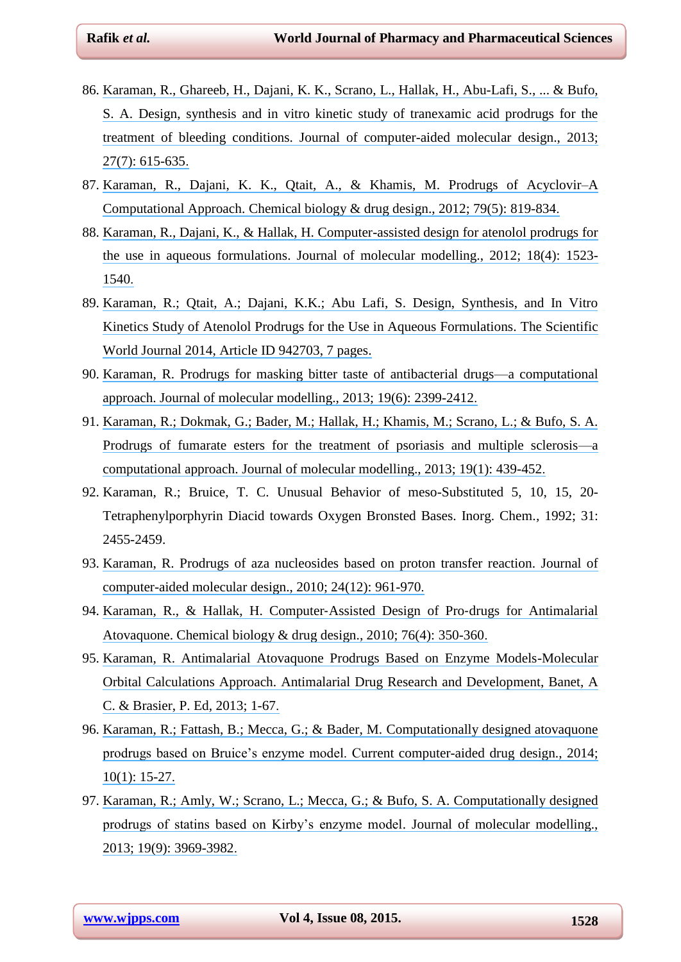- 86. [Karaman, R., Ghareeb, H., Dajani, K. K., Scrano, L., Hallak, H., Abu-Lafi, S., ... & Bufo,](https://www.researchgate.net/publication/251569587_Design_synthesis_and_in_vitro_kinetic_study_of_tranexamic_acid_prodrugs_for_the_treatment_of_bleeding_conditions?el=1_x_8&enrichId=rgreq-a792a97ecabbe75867adbf1f2d264fb4-XXX&enrichSource=Y292ZXJQYWdlOzI4MDYwOTA3NztBUzozMzY4MDc5MjIyOTA2ODhAMTQ1NzMxMjY3NDY0NQ==) [S. A. Design, synthesis and in vitro kinetic study of tranexamic acid prodrugs for the](https://www.researchgate.net/publication/251569587_Design_synthesis_and_in_vitro_kinetic_study_of_tranexamic_acid_prodrugs_for_the_treatment_of_bleeding_conditions?el=1_x_8&enrichId=rgreq-a792a97ecabbe75867adbf1f2d264fb4-XXX&enrichSource=Y292ZXJQYWdlOzI4MDYwOTA3NztBUzozMzY4MDc5MjIyOTA2ODhAMTQ1NzMxMjY3NDY0NQ==) [treatment of bleeding conditions. Journal of computer-aided molecular design., 2013;](https://www.researchgate.net/publication/251569587_Design_synthesis_and_in_vitro_kinetic_study_of_tranexamic_acid_prodrugs_for_the_treatment_of_bleeding_conditions?el=1_x_8&enrichId=rgreq-a792a97ecabbe75867adbf1f2d264fb4-XXX&enrichSource=Y292ZXJQYWdlOzI4MDYwOTA3NztBUzozMzY4MDc5MjIyOTA2ODhAMTQ1NzMxMjY3NDY0NQ==) 27(7): [615-635.](https://www.researchgate.net/publication/251569587_Design_synthesis_and_in_vitro_kinetic_study_of_tranexamic_acid_prodrugs_for_the_treatment_of_bleeding_conditions?el=1_x_8&enrichId=rgreq-a792a97ecabbe75867adbf1f2d264fb4-XXX&enrichSource=Y292ZXJQYWdlOzI4MDYwOTA3NztBUzozMzY4MDc5MjIyOTA2ODhAMTQ1NzMxMjY3NDY0NQ==)
- 87. Karaman, R., Dajani, K. K., Qtait, A., [& Khamis, M. Prodrugs of Acyclovir–A](https://www.researchgate.net/publication/221762227_Prodrugs_of_Acyclovir_-_A_Computational_Approach?el=1_x_8&enrichId=rgreq-a792a97ecabbe75867adbf1f2d264fb4-XXX&enrichSource=Y292ZXJQYWdlOzI4MDYwOTA3NztBUzozMzY4MDc5MjIyOTA2ODhAMTQ1NzMxMjY3NDY0NQ==)  Computational Approach. [Chemical biology & drug design., 2012; 79\(5\):](https://www.researchgate.net/publication/221762227_Prodrugs_of_Acyclovir_-_A_Computational_Approach?el=1_x_8&enrichId=rgreq-a792a97ecabbe75867adbf1f2d264fb4-XXX&enrichSource=Y292ZXJQYWdlOzI4MDYwOTA3NztBUzozMzY4MDc5MjIyOTA2ODhAMTQ1NzMxMjY3NDY0NQ==) 819-834.
- 88. [Karaman, R., Dajani, K., & Hallak, H. Computer-assisted design for atenolol prodrugs for](https://www.researchgate.net/publication/51518212_Computer-assisted_design_for_atenolol_prodrugs_for_the_use_in_aqueous_formulations?el=1_x_8&enrichId=rgreq-a792a97ecabbe75867adbf1f2d264fb4-XXX&enrichSource=Y292ZXJQYWdlOzI4MDYwOTA3NztBUzozMzY4MDc5MjIyOTA2ODhAMTQ1NzMxMjY3NDY0NQ==) [the use in aqueous formulations. Journal of molecular modelling., 2012; 18\(4\):](https://www.researchgate.net/publication/51518212_Computer-assisted_design_for_atenolol_prodrugs_for_the_use_in_aqueous_formulations?el=1_x_8&enrichId=rgreq-a792a97ecabbe75867adbf1f2d264fb4-XXX&enrichSource=Y292ZXJQYWdlOzI4MDYwOTA3NztBUzozMzY4MDc5MjIyOTA2ODhAMTQ1NzMxMjY3NDY0NQ==) 1523- [1540.](https://www.researchgate.net/publication/51518212_Computer-assisted_design_for_atenolol_prodrugs_for_the_use_in_aqueous_formulations?el=1_x_8&enrichId=rgreq-a792a97ecabbe75867adbf1f2d264fb4-XXX&enrichSource=Y292ZXJQYWdlOzI4MDYwOTA3NztBUzozMzY4MDc5MjIyOTA2ODhAMTQ1NzMxMjY3NDY0NQ==)
- 89. [Karaman, R.; Qtait, A.; Dajani, K.K.; Abu Lafi, S. Design, Synthesis, and In Vitro](https://www.researchgate.net/publication/260196557_Design_Synthesis_and_In_Vitro_Kinetics_Study_of_Atenolol_Prodrugs_for_the_Use_in_Aqueous_Formulations?el=1_x_8&enrichId=rgreq-a792a97ecabbe75867adbf1f2d264fb4-XXX&enrichSource=Y292ZXJQYWdlOzI4MDYwOTA3NztBUzozMzY4MDc5MjIyOTA2ODhAMTQ1NzMxMjY3NDY0NQ==) [Kinetics Study of Atenolol Prodrugs for the Use in Aqueous Formulations. The Scientific](https://www.researchgate.net/publication/260196557_Design_Synthesis_and_In_Vitro_Kinetics_Study_of_Atenolol_Prodrugs_for_the_Use_in_Aqueous_Formulations?el=1_x_8&enrichId=rgreq-a792a97ecabbe75867adbf1f2d264fb4-XXX&enrichSource=Y292ZXJQYWdlOzI4MDYwOTA3NztBUzozMzY4MDc5MjIyOTA2ODhAMTQ1NzMxMjY3NDY0NQ==) World Journal 2014, [Article ID 942703, 7 pages.](https://www.researchgate.net/publication/260196557_Design_Synthesis_and_In_Vitro_Kinetics_Study_of_Atenolol_Prodrugs_for_the_Use_in_Aqueous_Formulations?el=1_x_8&enrichId=rgreq-a792a97ecabbe75867adbf1f2d264fb4-XXX&enrichSource=Y292ZXJQYWdlOzI4MDYwOTA3NztBUzozMzY4MDc5MjIyOTA2ODhAMTQ1NzMxMjY3NDY0NQ==)
- 90. [Karaman, R. Prodrugs for masking bitter taste of antibacterial drugs—a computational](https://www.researchgate.net/publication/236894817_Prodrugs_for_Masking_Bitter_Taste_of_Antibacterial_Drugs_-_A_Computational_Approach?el=1_x_8&enrichId=rgreq-a792a97ecabbe75867adbf1f2d264fb4-XXX&enrichSource=Y292ZXJQYWdlOzI4MDYwOTA3NztBUzozMzY4MDc5MjIyOTA2ODhAMTQ1NzMxMjY3NDY0NQ==) [approach. Journal of molecular modelling., 2013; 19\(6\):](https://www.researchgate.net/publication/236894817_Prodrugs_for_Masking_Bitter_Taste_of_Antibacterial_Drugs_-_A_Computational_Approach?el=1_x_8&enrichId=rgreq-a792a97ecabbe75867adbf1f2d264fb4-XXX&enrichSource=Y292ZXJQYWdlOzI4MDYwOTA3NztBUzozMzY4MDc5MjIyOTA2ODhAMTQ1NzMxMjY3NDY0NQ==) 2399-2412.
- 91. [Karaman, R.; Dokmak, G.; Bader, M.; Hallak, H.; Khamis, M.; Scrano, L.; & Bufo, S. A.](https://www.researchgate.net/publication/230783118_Prodrugs_of_fumarate_esters_for_the_treatment_of_psoriasis_and_multiple_sclerosis_MS-_A_computational_approach_J?el=1_x_8&enrichId=rgreq-a792a97ecabbe75867adbf1f2d264fb4-XXX&enrichSource=Y292ZXJQYWdlOzI4MDYwOTA3NztBUzozMzY4MDc5MjIyOTA2ODhAMTQ1NzMxMjY3NDY0NQ==) [Prodrugs of fumarate esters for the treatment of psoriasis and multiple sclerosis—a](https://www.researchgate.net/publication/230783118_Prodrugs_of_fumarate_esters_for_the_treatment_of_psoriasis_and_multiple_sclerosis_MS-_A_computational_approach_J?el=1_x_8&enrichId=rgreq-a792a97ecabbe75867adbf1f2d264fb4-XXX&enrichSource=Y292ZXJQYWdlOzI4MDYwOTA3NztBUzozMzY4MDc5MjIyOTA2ODhAMTQ1NzMxMjY3NDY0NQ==) [computational approach. Journal of molecular modelling., 2013; 19\(1\):](https://www.researchgate.net/publication/230783118_Prodrugs_of_fumarate_esters_for_the_treatment_of_psoriasis_and_multiple_sclerosis_MS-_A_computational_approach_J?el=1_x_8&enrichId=rgreq-a792a97ecabbe75867adbf1f2d264fb4-XXX&enrichSource=Y292ZXJQYWdlOzI4MDYwOTA3NztBUzozMzY4MDc5MjIyOTA2ODhAMTQ1NzMxMjY3NDY0NQ==) 439-452.
- 92. Karaman, R.; Bruice, T. C. Unusual Behavior of meso-Substituted 5, 10, 15, 20- Tetraphenylporphyrin Diacid towards Oxygen Bronsted Bases. Inorg. Chem*.,* 1992; 31: 2455-2459.
- 93. [Karaman, R. Prodrugs of aza nucleosides based on proton transfer reaction. Journal of](https://www.researchgate.net/publication/47404797_Prodrugs_of_Aza_Nucleosides_Based_on_Proton_Transfer_Reactions?el=1_x_8&enrichId=rgreq-a792a97ecabbe75867adbf1f2d264fb4-XXX&enrichSource=Y292ZXJQYWdlOzI4MDYwOTA3NztBUzozMzY4MDc5MjIyOTA2ODhAMTQ1NzMxMjY3NDY0NQ==) [computer-aided molecular design., 2010; 24\(12\):](https://www.researchgate.net/publication/47404797_Prodrugs_of_Aza_Nucleosides_Based_on_Proton_Transfer_Reactions?el=1_x_8&enrichId=rgreq-a792a97ecabbe75867adbf1f2d264fb4-XXX&enrichSource=Y292ZXJQYWdlOzI4MDYwOTA3NztBUzozMzY4MDc5MjIyOTA2ODhAMTQ1NzMxMjY3NDY0NQ==) 961-970.
- 94. [Karaman, R., & Hallak, H. Computer](https://www.researchgate.net/publication/45819798_Research_Article_Computer-Assisted_Design_of_Pro-drugs_for_Antimalarial_Atovaquone?el=1_x_8&enrichId=rgreq-a792a97ecabbe75867adbf1f2d264fb4-XXX&enrichSource=Y292ZXJQYWdlOzI4MDYwOTA3NztBUzozMzY4MDc5MjIyOTA2ODhAMTQ1NzMxMjY3NDY0NQ==)‐Assisted Design of Pro‐drugs for Antimalarial Atovaquone. [Chemical biology & drug design., 2010; 76\(4\):](https://www.researchgate.net/publication/45819798_Research_Article_Computer-Assisted_Design_of_Pro-drugs_for_Antimalarial_Atovaquone?el=1_x_8&enrichId=rgreq-a792a97ecabbe75867adbf1f2d264fb4-XXX&enrichSource=Y292ZXJQYWdlOzI4MDYwOTA3NztBUzozMzY4MDc5MjIyOTA2ODhAMTQ1NzMxMjY3NDY0NQ==) 350-360.
- 95. [Karaman, R. Antimalarial Atovaquone Prodrugs Based on Enzyme Models-Molecular](https://www.researchgate.net/publication/257066975_Antimalarial_Atovaquone_Prodrugs_Based_on_Enzyme_Models_-_Molecular_Orbital_Calculations_Approach?el=1_x_8&enrichId=rgreq-a792a97ecabbe75867adbf1f2d264fb4-XXX&enrichSource=Y292ZXJQYWdlOzI4MDYwOTA3NztBUzozMzY4MDc5MjIyOTA2ODhAMTQ1NzMxMjY3NDY0NQ==) [Orbital Calculations Approach. Antimalarial Drug Research and Development, Banet, A](https://www.researchgate.net/publication/257066975_Antimalarial_Atovaquone_Prodrugs_Based_on_Enzyme_Models_-_Molecular_Orbital_Calculations_Approach?el=1_x_8&enrichId=rgreq-a792a97ecabbe75867adbf1f2d264fb4-XXX&enrichSource=Y292ZXJQYWdlOzI4MDYwOTA3NztBUzozMzY4MDc5MjIyOTA2ODhAMTQ1NzMxMjY3NDY0NQ==) [C. & Brasier, P. Ed, 2013; 1-67.](https://www.researchgate.net/publication/257066975_Antimalarial_Atovaquone_Prodrugs_Based_on_Enzyme_Models_-_Molecular_Orbital_Calculations_Approach?el=1_x_8&enrichId=rgreq-a792a97ecabbe75867adbf1f2d264fb4-XXX&enrichSource=Y292ZXJQYWdlOzI4MDYwOTA3NztBUzozMzY4MDc5MjIyOTA2ODhAMTQ1NzMxMjY3NDY0NQ==)
- 96. [Karaman, R.; Fattash, B.; Mecca, G.; & Bader, M. Computationally designed atovaquone](https://www.researchgate.net/publication/258057301_Computationally_Designed_Atovaquone_Prodrugs_Based_on_Bruice) [prodrugs based on Bruice's enzyme model. Current computer-aided drug design., 2014;](https://www.researchgate.net/publication/258057301_Computationally_Designed_Atovaquone_Prodrugs_Based_on_Bruice) 10(1): [15-27.](https://www.researchgate.net/publication/258057301_Computationally_Designed_Atovaquone_Prodrugs_Based_on_Bruice)
- 97. [Karaman, R.; Amly, W.; Scrano, L.; Mecca, G.; & Bufo, S. A. Computationally designed](https://www.researchgate.net/publication/247771727_Computationally_designed_prodrugs_of_statins_based_on_Kirby) [prodrugs of statins based on Kirby's enzyme model. Journal of molecular modelling.,](https://www.researchgate.net/publication/247771727_Computationally_designed_prodrugs_of_statins_based_on_Kirby) [2013; 19\(9\):](https://www.researchgate.net/publication/247771727_Computationally_designed_prodrugs_of_statins_based_on_Kirby) 3969-3982.